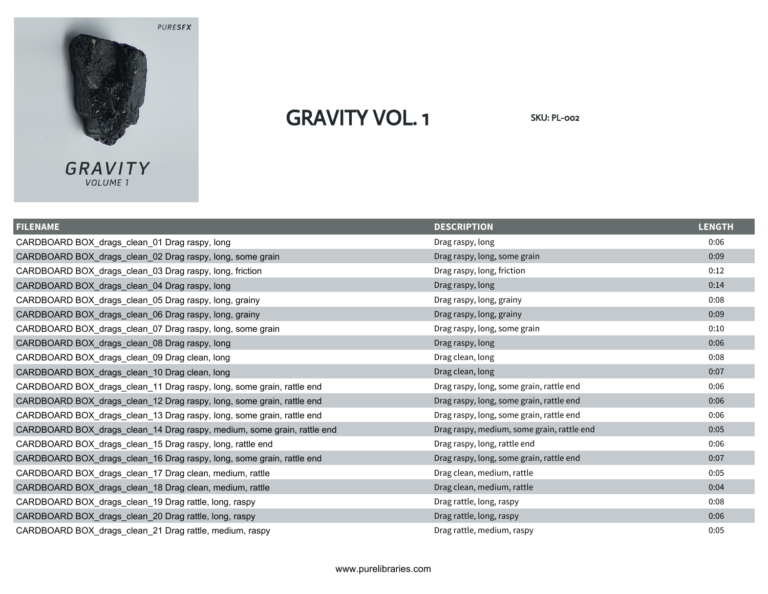

## GRAVITY VOLUME 1

## GRAVITY VOL. 1 SKU: PL-002

| <b>FILENAME</b>                                                         | <b>DESCRIPTION</b>                         | <b>LENGTH</b> |
|-------------------------------------------------------------------------|--------------------------------------------|---------------|
| CARDBOARD BOX_drags_clean_01 Drag raspy, long                           | Drag raspy, long                           | 0:06          |
| CARDBOARD BOX_drags_clean_02 Drag raspy, long, some grain               | Drag raspy, long, some grain               | 0:09          |
| CARDBOARD BOX_drags_clean_03 Drag raspy, long, friction                 | Drag raspy, long, friction                 | 0:12          |
| CARDBOARD BOX_drags_clean_04 Drag raspy, long                           | Drag raspy, long                           | 0:14          |
| CARDBOARD BOX_drags_clean_05 Drag raspy, long, grainy                   | Drag raspy, long, grainy                   | 0:08          |
| CARDBOARD BOX_drags_clean_06 Drag raspy, long, grainy                   | Drag raspy, long, grainy                   | 0:09          |
| CARDBOARD BOX_drags_clean_07 Drag raspy, long, some grain               | Drag raspy, long, some grain               | 0:10          |
| CARDBOARD BOX_drags_clean_08 Drag raspy, long                           | Drag raspy, long                           | 0:06          |
| CARDBOARD BOX_drags_clean_09 Drag clean, long                           | Drag clean, long                           | 0:08          |
| CARDBOARD BOX_drags_clean_10 Drag clean, long                           | Drag clean, long                           | 0:07          |
| CARDBOARD BOX_drags_clean_11 Drag raspy, long, some grain, rattle end   | Drag raspy, long, some grain, rattle end   | 0:06          |
| CARDBOARD BOX_drags_clean_12 Drag raspy, long, some grain, rattle end   | Drag raspy, long, some grain, rattle end   | 0:06          |
| CARDBOARD BOX_drags_clean_13 Drag raspy, long, some grain, rattle end   | Drag raspy, long, some grain, rattle end   | 0:06          |
| CARDBOARD BOX_drags_clean_14 Drag raspy, medium, some grain, rattle end | Drag raspy, medium, some grain, rattle end | 0:05          |
| CARDBOARD BOX_drags_clean_15 Drag raspy, long, rattle end               | Drag raspy, long, rattle end               | 0:06          |
| CARDBOARD BOX_drags_clean_16 Drag raspy, long, some grain, rattle end   | Drag raspy, long, some grain, rattle end   | 0:07          |
| CARDBOARD BOX_drags_clean_17 Drag clean, medium, rattle                 | Drag clean, medium, rattle                 | 0:05          |
| CARDBOARD BOX_drags_clean_18 Drag clean, medium, rattle                 | Drag clean, medium, rattle                 | 0:04          |
| CARDBOARD BOX_drags_clean_19 Drag rattle, long, raspy                   | Drag rattle, long, raspy                   | 0:08          |
| CARDBOARD BOX_drags_clean_20 Drag rattle, long, raspy                   | Drag rattle, long, raspy                   | 0:06          |
| CARDBOARD BOX_drags_clean_21 Drag rattle, medium, raspy                 | Drag rattle, medium, raspy                 | 0:05          |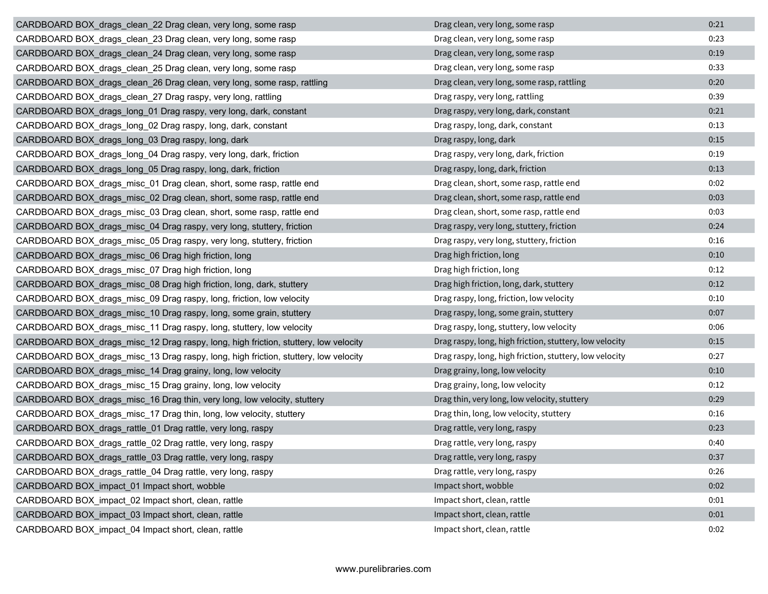| CARDBOARD BOX_drags_clean_22 Drag clean, very long, some rasp                       | Drag clean, very long, some rasp                        | 0:21 |
|-------------------------------------------------------------------------------------|---------------------------------------------------------|------|
| CARDBOARD BOX drags clean 23 Drag clean, very long, some rasp                       | Drag clean, very long, some rasp                        | 0:23 |
| CARDBOARD BOX drags clean 24 Drag clean, very long, some rasp                       | Drag clean, very long, some rasp                        | 0:19 |
| CARDBOARD BOX_drags_clean_25 Drag clean, very long, some rasp                       | Drag clean, very long, some rasp                        | 0:33 |
| CARDBOARD BOX_drags_clean_26 Drag clean, very long, some rasp, rattling             | Drag clean, very long, some rasp, rattling              | 0:20 |
| CARDBOARD BOX_drags_clean_27 Drag raspy, very long, rattling                        | Drag raspy, very long, rattling                         | 0:39 |
| CARDBOARD BOX_drags_long_01 Drag raspy, very long, dark, constant                   | Drag raspy, very long, dark, constant                   | 0:21 |
| CARDBOARD BOX_drags_long_02 Drag raspy, long, dark, constant                        | Drag raspy, long, dark, constant                        | 0:13 |
| CARDBOARD BOX_drags_long_03 Drag raspy, long, dark                                  | Drag raspy, long, dark                                  | 0:15 |
| CARDBOARD BOX_drags_long_04 Drag raspy, very long, dark, friction                   | Drag raspy, very long, dark, friction                   | 0:19 |
| CARDBOARD BOX_drags_long_05 Drag raspy, long, dark, friction                        | Drag raspy, long, dark, friction                        | 0:13 |
| CARDBOARD BOX_drags_misc_01 Drag clean, short, some rasp, rattle end                | Drag clean, short, some rasp, rattle end                | 0:02 |
| CARDBOARD BOX_drags_misc_02 Drag clean, short, some rasp, rattle end                | Drag clean, short, some rasp, rattle end                | 0:03 |
| CARDBOARD BOX_drags_misc_03 Drag clean, short, some rasp, rattle end                | Drag clean, short, some rasp, rattle end                | 0:03 |
| CARDBOARD BOX drags misc 04 Drag raspy, very long, stuttery, friction               | Drag raspy, very long, stuttery, friction               | 0:24 |
| CARDBOARD BOX_drags_misc_05 Drag raspy, very long, stuttery, friction               | Drag raspy, very long, stuttery, friction               | 0:16 |
| CARDBOARD BOX_drags_misc_06 Drag high friction, long                                | Drag high friction, long                                | 0:10 |
| CARDBOARD BOX_drags_misc_07 Drag high friction, long                                | Drag high friction, long                                | 0:12 |
| CARDBOARD BOX_drags_misc_08 Drag high friction, long, dark, stuttery                | Drag high friction, long, dark, stuttery                | 0:12 |
| CARDBOARD BOX_drags_misc_09 Drag raspy, long, friction, low velocity                | Drag raspy, long, friction, low velocity                | 0:10 |
| CARDBOARD BOX_drags_misc_10 Drag raspy, long, some grain, stuttery                  | Drag raspy, long, some grain, stuttery                  | 0:07 |
| CARDBOARD BOX_drags_misc_11 Drag raspy, long, stuttery, low velocity                | Drag raspy, long, stuttery, low velocity                | 0:06 |
| CARDBOARD BOX_drags_misc_12 Drag raspy, long, high friction, stuttery, low velocity | Drag raspy, long, high friction, stuttery, low velocity | 0:15 |
| CARDBOARD BOX_drags_misc_13 Drag raspy, long, high friction, stuttery, low velocity | Drag raspy, long, high friction, stuttery, low velocity | 0:27 |
| CARDBOARD BOX_drags_misc_14 Drag grainy, long, low velocity                         | Drag grainy, long, low velocity                         | 0:10 |
| CARDBOARD BOX_drags_misc_15 Drag grainy, long, low velocity                         | Drag grainy, long, low velocity                         | 0:12 |
| CARDBOARD BOX drags misc 16 Drag thin, very long, low velocity, stuttery            | Drag thin, very long, low velocity, stuttery            | 0:29 |
| CARDBOARD BOX_drags_misc_17 Drag thin, long, low velocity, stuttery                 | Drag thin, long, low velocity, stuttery                 | 0:16 |
| CARDBOARD BOX_drags_rattle_01 Drag rattle, very long, raspy                         | Drag rattle, very long, raspy                           | 0:23 |
| CARDBOARD BOX_drags_rattle_02 Drag rattle, very long, raspy                         | Drag rattle, very long, raspy                           | 0:40 |
| CARDBOARD BOX_drags_rattle_03 Drag rattle, very long, raspy                         | Drag rattle, very long, raspy                           | 0:37 |
| CARDBOARD BOX drags rattle 04 Drag rattle, very long, raspy                         | Drag rattle, very long, raspy                           | 0:26 |
| CARDBOARD BOX_impact_01 Impact short, wobble                                        | Impact short, wobble                                    | 0:02 |
| CARDBOARD BOX impact 02 Impact short, clean, rattle                                 | Impact short, clean, rattle                             | 0:01 |
| CARDBOARD BOX impact 03 Impact short, clean, rattle                                 | Impact short, clean, rattle                             | 0:01 |
| CARDBOARD BOX_impact_04 Impact short, clean, rattle                                 | Impact short, clean, rattle                             | 0:02 |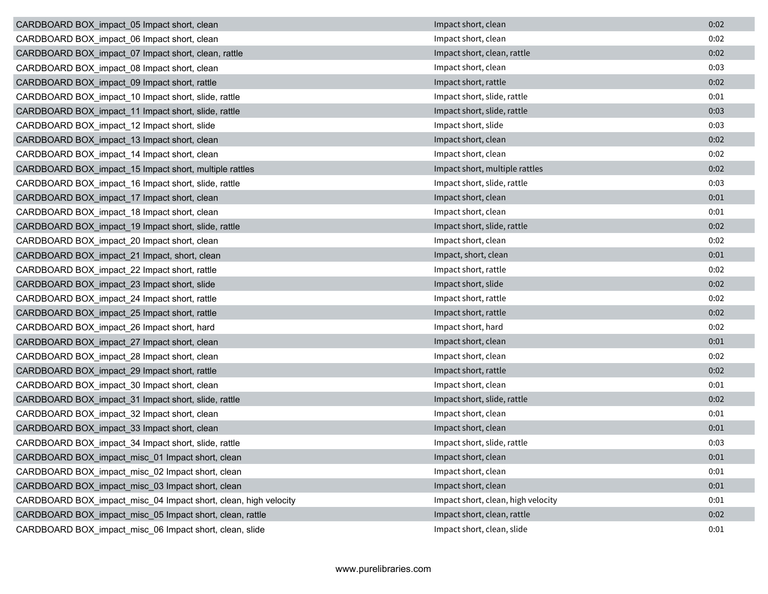| CARDBOARD BOX impact 05 Impact short, clean                     | Impact short, clean                | 0:02 |
|-----------------------------------------------------------------|------------------------------------|------|
| CARDBOARD BOX_impact_06 Impact short, clean                     | Impact short, clean                | 0:02 |
| CARDBOARD BOX_impact_07 Impact short, clean, rattle             | Impact short, clean, rattle        | 0:02 |
| CARDBOARD BOX_impact_08 Impact short, clean                     | Impact short, clean                | 0:03 |
| CARDBOARD BOX_impact_09 Impact short, rattle                    | Impact short, rattle               | 0:02 |
| CARDBOARD BOX_impact_10 Impact short, slide, rattle             | Impact short, slide, rattle        | 0:01 |
| CARDBOARD BOX_impact_11 Impact short, slide, rattle             | Impact short, slide, rattle        | 0:03 |
| CARDBOARD BOX_impact_12 Impact short, slide                     | Impact short, slide                | 0:03 |
| CARDBOARD BOX_impact_13 Impact short, clean                     | Impact short, clean                | 0:02 |
| CARDBOARD BOX impact 14 Impact short, clean                     | Impact short, clean                | 0:02 |
| CARDBOARD BOX_impact_15 Impact short, multiple rattles          | Impact short, multiple rattles     | 0:02 |
| CARDBOARD BOX impact 16 Impact short, slide, rattle             | Impact short, slide, rattle        | 0:03 |
| CARDBOARD BOX impact 17 Impact short, clean                     | Impact short, clean                | 0:01 |
| CARDBOARD BOX_impact_18 Impact short, clean                     | Impact short, clean                | 0:01 |
| CARDBOARD BOX impact 19 Impact short, slide, rattle             | Impact short, slide, rattle        | 0:02 |
| CARDBOARD BOX impact 20 Impact short, clean                     | Impact short, clean                | 0:02 |
| CARDBOARD BOX_impact_21 Impact, short, clean                    | Impact, short, clean               | 0:01 |
| CARDBOARD BOX_impact_22 Impact short, rattle                    | Impact short, rattle               | 0:02 |
| CARDBOARD BOX_impact_23 Impact short, slide                     | Impact short, slide                | 0:02 |
| CARDBOARD BOX_impact_24 Impact short, rattle                    | Impact short, rattle               | 0:02 |
| CARDBOARD BOX_impact_25 Impact short, rattle                    | Impact short, rattle               | 0:02 |
| CARDBOARD BOX_impact_26 Impact short, hard                      | Impact short, hard                 | 0:02 |
| CARDBOARD BOX_impact_27 Impact short, clean                     | Impact short, clean                | 0:01 |
| CARDBOARD BOX_impact_28 Impact short, clean                     | Impact short, clean                | 0:02 |
| CARDBOARD BOX_impact_29 Impact short, rattle                    | Impact short, rattle               | 0:02 |
| CARDBOARD BOX_impact_30 Impact short, clean                     | Impact short, clean                | 0:01 |
| CARDBOARD BOX_impact_31 Impact short, slide, rattle             | Impact short, slide, rattle        | 0:02 |
| CARDBOARD BOX_impact_32 Impact short, clean                     | Impact short, clean                | 0:01 |
| CARDBOARD BOX impact 33 Impact short, clean                     | Impact short, clean                | 0:01 |
| CARDBOARD BOX_impact_34 Impact short, slide, rattle             | Impact short, slide, rattle        | 0:03 |
| CARDBOARD BOX impact misc 01 Impact short, clean                | Impact short, clean                | 0:01 |
| CARDBOARD BOX_impact_misc_02 Impact short, clean                | Impact short, clean                | 0:01 |
| CARDBOARD BOX impact misc 03 Impact short, clean                | Impact short, clean                | 0:01 |
| CARDBOARD BOX_impact_misc_04 Impact short, clean, high velocity | Impact short, clean, high velocity | 0:01 |
| CARDBOARD BOX impact misc 05 Impact short, clean, rattle        | Impact short, clean, rattle        | 0:02 |
| CARDBOARD BOX_impact_misc_06 Impact short, clean, slide         | Impact short, clean, slide         | 0:01 |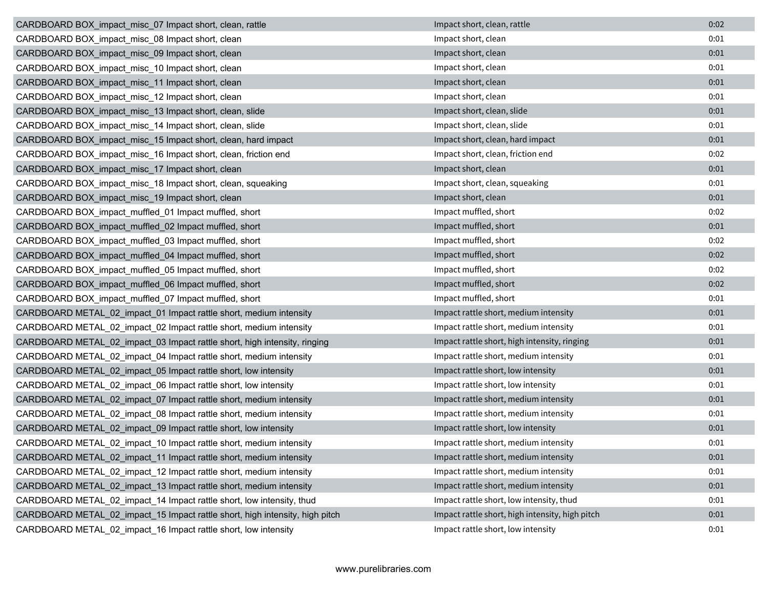| CARDBOARD BOX_impact_misc_07 Impact short, clean, rattle                     | Impact short, clean, rattle                     | 0:02 |
|------------------------------------------------------------------------------|-------------------------------------------------|------|
| CARDBOARD BOX impact misc 08 Impact short, clean                             | Impact short, clean                             | 0:01 |
| CARDBOARD BOX impact misc 09 Impact short, clean                             | Impact short, clean                             | 0:01 |
| CARDBOARD BOX_impact_misc_10 Impact short, clean                             | Impact short, clean                             | 0:01 |
| CARDBOARD BOX_impact_misc_11 Impact short, clean                             | Impact short, clean                             | 0:01 |
| CARDBOARD BOX_impact_misc_12 Impact short, clean                             | Impact short, clean                             | 0:01 |
| CARDBOARD BOX_impact_misc_13 Impact short, clean, slide                      | Impact short, clean, slide                      | 0:01 |
| CARDBOARD BOX_impact_misc_14 Impact short, clean, slide                      | Impact short, clean, slide                      | 0:01 |
| CARDBOARD BOX_impact_misc_15 Impact short, clean, hard impact                | Impact short, clean, hard impact                | 0:01 |
| CARDBOARD BOX_impact_misc_16 Impact short, clean, friction end               | Impact short, clean, friction end               | 0:02 |
| CARDBOARD BOX_impact_misc_17 Impact short, clean                             | Impact short, clean                             | 0:01 |
| CARDBOARD BOX_impact_misc_18 Impact short, clean, squeaking                  | Impact short, clean, squeaking                  | 0:01 |
| CARDBOARD BOX_impact_misc_19 Impact short, clean                             | Impact short, clean                             | 0:01 |
| CARDBOARD BOX_impact_muffled_01 Impact muffled, short                        | Impact muffled, short                           | 0:02 |
| CARDBOARD BOX_impact_muffled_02 Impact muffled, short                        | Impact muffled, short                           | 0:01 |
| CARDBOARD BOX_impact_muffled_03 Impact muffled, short                        | Impact muffled, short                           | 0:02 |
| CARDBOARD BOX_impact_muffled_04 Impact muffled, short                        | Impact muffled, short                           | 0:02 |
| CARDBOARD BOX impact muffled 05 Impact muffled, short                        | Impact muffled, short                           | 0:02 |
| CARDBOARD BOX impact muffled 06 Impact muffled, short                        | Impact muffled, short                           | 0:02 |
| CARDBOARD BOX_impact_muffled_07 Impact muffled, short                        | Impact muffled, short                           | 0:01 |
| CARDBOARD METAL_02_impact_01 Impact rattle short, medium intensity           | Impact rattle short, medium intensity           | 0:01 |
| CARDBOARD METAL_02_impact_02 Impact rattle short, medium intensity           | Impact rattle short, medium intensity           | 0:01 |
| CARDBOARD METAL_02_impact_03 Impact rattle short, high intensity, ringing    | Impact rattle short, high intensity, ringing    | 0:01 |
| CARDBOARD METAL 02 impact 04 Impact rattle short, medium intensity           | Impact rattle short, medium intensity           | 0:01 |
| CARDBOARD METAL_02_impact_05 Impact rattle short, low intensity              | Impact rattle short, low intensity              | 0:01 |
| CARDBOARD METAL_02_impact_06 Impact rattle short, low intensity              | Impact rattle short, low intensity              | 0:01 |
| CARDBOARD METAL_02_impact_07 Impact rattle short, medium intensity           | Impact rattle short, medium intensity           | 0:01 |
| CARDBOARD METAL_02_impact_08 Impact rattle short, medium intensity           | Impact rattle short, medium intensity           | 0:01 |
| CARDBOARD METAL_02_impact_09 Impact rattle short, low intensity              | Impact rattle short, low intensity              | 0:01 |
| CARDBOARD METAL_02_impact_10 Impact rattle short, medium intensity           | Impact rattle short, medium intensity           | 0:01 |
| CARDBOARD METAL_02_impact_11 Impact rattle short, medium intensity           | Impact rattle short, medium intensity           | 0:01 |
| CARDBOARD METAL 02 impact 12 Impact rattle short, medium intensity           | Impact rattle short, medium intensity           | 0:01 |
| CARDBOARD METAL 02 impact 13 Impact rattle short, medium intensity           | Impact rattle short, medium intensity           | 0:01 |
| CARDBOARD METAL_02_impact_14 Impact rattle short, low intensity, thud        | Impact rattle short, low intensity, thud        | 0:01 |
| CARDBOARD METAL 02 impact 15 Impact rattle short, high intensity, high pitch | Impact rattle short, high intensity, high pitch | 0:01 |
| CARDBOARD METAL 02 impact 16 Impact rattle short, low intensity              | Impact rattle short, low intensity              | 0:01 |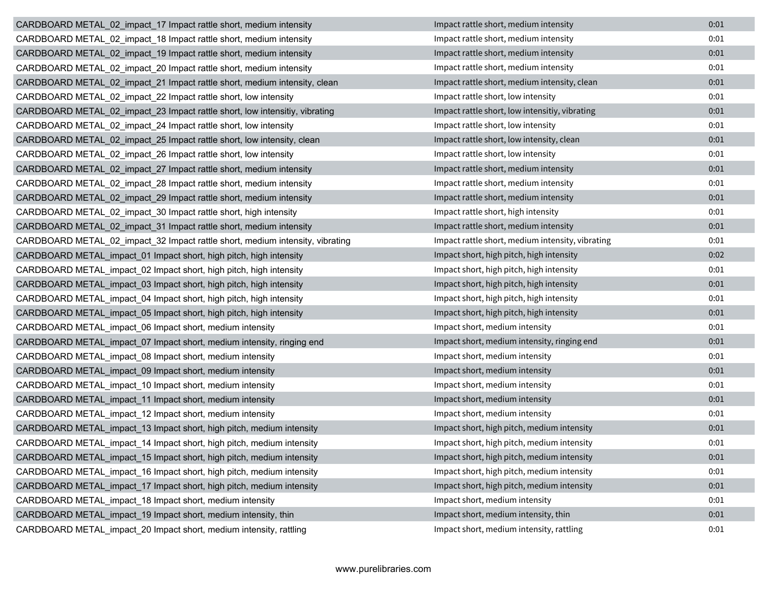| CARDBOARD METAL_02_impact_17 Impact rattle short, medium intensity            | Impact rattle short, medium intensity            | 0:01 |
|-------------------------------------------------------------------------------|--------------------------------------------------|------|
| CARDBOARD METAL 02 impact 18 Impact rattle short, medium intensity            | Impact rattle short, medium intensity            | 0:01 |
| CARDBOARD METAL_02_impact_19 Impact rattle short, medium intensity            | Impact rattle short, medium intensity            | 0:01 |
| CARDBOARD METAL 02 impact 20 Impact rattle short, medium intensity            | Impact rattle short, medium intensity            | 0:01 |
| CARDBOARD METAL_02_impact_21 Impact rattle short, medium intensity, clean     | Impact rattle short, medium intensity, clean     | 0:01 |
| CARDBOARD METAL_02_impact_22 Impact rattle short, low intensity               | Impact rattle short, low intensity               | 0:01 |
| CARDBOARD METAL_02_impact_23 Impact rattle short, low intensitiy, vibrating   | Impact rattle short, low intensitiy, vibrating   | 0:01 |
| CARDBOARD METAL_02_impact_24 Impact rattle short, low intensity               | Impact rattle short, low intensity               | 0:01 |
| CARDBOARD METAL_02_impact_25 Impact rattle short, low intensity, clean        | Impact rattle short, low intensity, clean        | 0:01 |
| CARDBOARD METAL_02_impact_26 Impact rattle short, low intensity               | Impact rattle short, low intensity               | 0:01 |
| CARDBOARD METAL_02_impact_27 Impact rattle short, medium intensity            | Impact rattle short, medium intensity            | 0:01 |
| CARDBOARD METAL_02_impact_28 Impact rattle short, medium intensity            | Impact rattle short, medium intensity            | 0:01 |
| CARDBOARD METAL_02_impact_29 Impact rattle short, medium intensity            | Impact rattle short, medium intensity            | 0:01 |
| CARDBOARD METAL_02_impact_30 Impact rattle short, high intensity              | Impact rattle short, high intensity              | 0:01 |
| CARDBOARD METAL 02 impact 31 Impact rattle short, medium intensity            | Impact rattle short, medium intensity            | 0:01 |
| CARDBOARD METAL_02_impact_32 Impact rattle short, medium intensity, vibrating | Impact rattle short, medium intensity, vibrating | 0:01 |
| CARDBOARD METAL_impact_01 Impact short, high pitch, high intensity            | Impact short, high pitch, high intensity         | 0:02 |
| CARDBOARD METAL_impact_02 Impact short, high pitch, high intensity            | Impact short, high pitch, high intensity         | 0:01 |
| CARDBOARD METAL impact 03 Impact short, high pitch, high intensity            | Impact short, high pitch, high intensity         | 0:01 |
| CARDBOARD METAL_impact_04 Impact short, high pitch, high intensity            | Impact short, high pitch, high intensity         | 0:01 |
| CARDBOARD METAL_impact_05 Impact short, high pitch, high intensity            | Impact short, high pitch, high intensity         | 0:01 |
| CARDBOARD METAL_impact_06 Impact short, medium intensity                      | Impact short, medium intensity                   | 0:01 |
| CARDBOARD METAL_impact_07 Impact short, medium intensity, ringing end         | Impact short, medium intensity, ringing end      | 0:01 |
| CARDBOARD METAL_impact_08 Impact short, medium intensity                      | Impact short, medium intensity                   | 0:01 |
| CARDBOARD METAL_impact_09 Impact short, medium intensity                      | Impact short, medium intensity                   | 0:01 |
| CARDBOARD METAL_impact_10 Impact short, medium intensity                      | Impact short, medium intensity                   | 0:01 |
| CARDBOARD METAL impact 11 Impact short, medium intensity                      | Impact short, medium intensity                   | 0:01 |
| CARDBOARD METAL_impact_12 Impact short, medium intensity                      | Impact short, medium intensity                   | 0:01 |
| CARDBOARD METAL impact 13 Impact short, high pitch, medium intensity          | Impact short, high pitch, medium intensity       | 0:01 |
| CARDBOARD METAL_impact_14 Impact short, high pitch, medium intensity          | Impact short, high pitch, medium intensity       | 0:01 |
| CARDBOARD METAL_impact_15 Impact short, high pitch, medium intensity          | Impact short, high pitch, medium intensity       | 0:01 |
| CARDBOARD METAL_impact_16 Impact short, high pitch, medium intensity          | Impact short, high pitch, medium intensity       | 0:01 |
| CARDBOARD METAL impact 17 Impact short, high pitch, medium intensity          | Impact short, high pitch, medium intensity       | 0:01 |
| CARDBOARD METAL_impact_18 Impact short, medium intensity                      | Impact short, medium intensity                   | 0:01 |
| CARDBOARD METAL impact 19 Impact short, medium intensity, thin                | Impact short, medium intensity, thin             | 0:01 |
| CARDBOARD METAL_impact_20 Impact short, medium intensity, rattling            | Impact short, medium intensity, rattling         | 0:01 |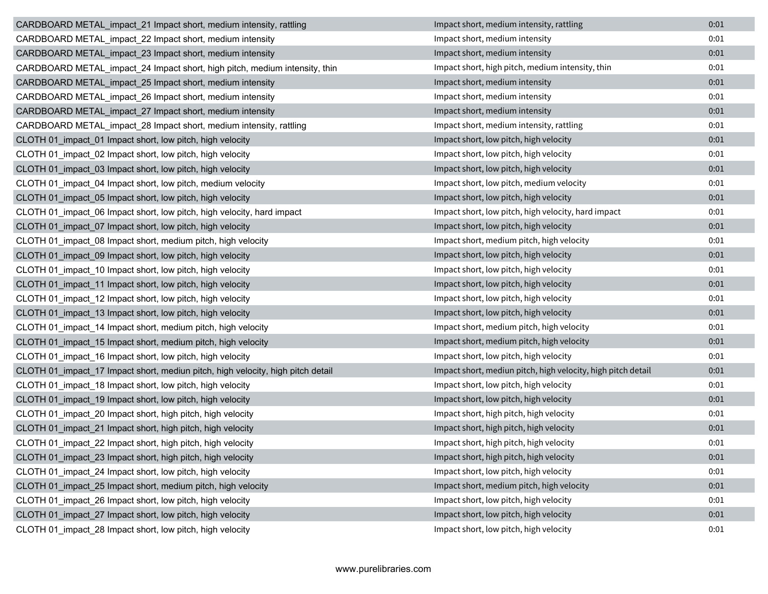| CARDBOARD METAL impact 21 Impact short, medium intensity, rattling              | Impact short, medium intensity, rattling                     | 0:01 |
|---------------------------------------------------------------------------------|--------------------------------------------------------------|------|
| CARDBOARD METAL impact 22 Impact short, medium intensity                        | Impact short, medium intensity                               | 0:01 |
| CARDBOARD METAL_impact_23 Impact short, medium intensity                        | Impact short, medium intensity                               | 0:01 |
| CARDBOARD METAL impact 24 Impact short, high pitch, medium intensity, thin      | Impact short, high pitch, medium intensity, thin             | 0:01 |
| CARDBOARD METAL_impact_25 Impact short, medium intensity                        | Impact short, medium intensity                               | 0:01 |
| CARDBOARD METAL impact 26 Impact short, medium intensity                        | Impact short, medium intensity                               | 0:01 |
| CARDBOARD METAL impact 27 Impact short, medium intensity                        | Impact short, medium intensity                               | 0:01 |
| CARDBOARD METAL_impact_28 Impact short, medium intensity, rattling              | Impact short, medium intensity, rattling                     | 0:01 |
| CLOTH 01 impact 01 Impact short, low pitch, high velocity                       | Impact short, low pitch, high velocity                       | 0:01 |
| CLOTH 01_impact_02 Impact short, low pitch, high velocity                       | Impact short, low pitch, high velocity                       | 0:01 |
| CLOTH 01_impact_03 Impact short, low pitch, high velocity                       | Impact short, low pitch, high velocity                       | 0:01 |
| CLOTH 01_impact_04 Impact short, low pitch, medium velocity                     | Impact short, low pitch, medium velocity                     | 0:01 |
| CLOTH 01_impact_05 Impact short, low pitch, high velocity                       | Impact short, low pitch, high velocity                       | 0:01 |
| CLOTH 01_impact_06 Impact short, low pitch, high velocity, hard impact          | Impact short, low pitch, high velocity, hard impact          | 0:01 |
| CLOTH 01 impact 07 Impact short, low pitch, high velocity                       | Impact short, low pitch, high velocity                       | 0:01 |
| CLOTH 01_impact_08 Impact short, medium pitch, high velocity                    | Impact short, medium pitch, high velocity                    | 0:01 |
| CLOTH 01_impact_09 Impact short, low pitch, high velocity                       | Impact short, low pitch, high velocity                       | 0:01 |
| CLOTH 01 impact 10 Impact short, low pitch, high velocity                       | Impact short, low pitch, high velocity                       | 0:01 |
| CLOTH 01 impact 11 Impact short, low pitch, high velocity                       | Impact short, low pitch, high velocity                       | 0:01 |
| CLOTH 01_impact_12 Impact short, low pitch, high velocity                       | Impact short, low pitch, high velocity                       | 0:01 |
| CLOTH 01_impact_13 Impact short, low pitch, high velocity                       | Impact short, low pitch, high velocity                       | 0:01 |
| CLOTH 01_impact_14 Impact short, medium pitch, high velocity                    | Impact short, medium pitch, high velocity                    | 0:01 |
| CLOTH 01_impact_15 Impact short, medium pitch, high velocity                    | Impact short, medium pitch, high velocity                    | 0:01 |
| CLOTH 01 impact 16 Impact short, low pitch, high velocity                       | Impact short, low pitch, high velocity                       | 0:01 |
| CLOTH 01_impact_17 Impact short, mediun pitch, high velocity, high pitch detail | Impact short, mediun pitch, high velocity, high pitch detail | 0:01 |
| CLOTH 01_impact_18 Impact short, low pitch, high velocity                       | Impact short, low pitch, high velocity                       | 0:01 |
| CLOTH 01_impact_19 Impact short, low pitch, high velocity                       | Impact short, low pitch, high velocity                       | 0:01 |
| CLOTH 01_impact_20 Impact short, high pitch, high velocity                      | Impact short, high pitch, high velocity                      | 0:01 |
| CLOTH 01_impact_21 Impact short, high pitch, high velocity                      | Impact short, high pitch, high velocity                      | 0:01 |
| CLOTH 01_impact_22 Impact short, high pitch, high velocity                      | Impact short, high pitch, high velocity                      | 0:01 |
| CLOTH 01_impact_23 Impact short, high pitch, high velocity                      | Impact short, high pitch, high velocity                      | 0:01 |
| CLOTH 01_impact_24 Impact short, low pitch, high velocity                       | Impact short, low pitch, high velocity                       | 0:01 |
| CLOTH 01_impact_25 Impact short, medium pitch, high velocity                    | Impact short, medium pitch, high velocity                    | 0:01 |
| CLOTH 01_impact_26 Impact short, low pitch, high velocity                       | Impact short, low pitch, high velocity                       | 0:01 |
| CLOTH 01 impact 27 Impact short, low pitch, high velocity                       | Impact short, low pitch, high velocity                       | 0:01 |
| CLOTH 01_impact_28 Impact short, low pitch, high velocity                       | Impact short, low pitch, high velocity                       | 0:01 |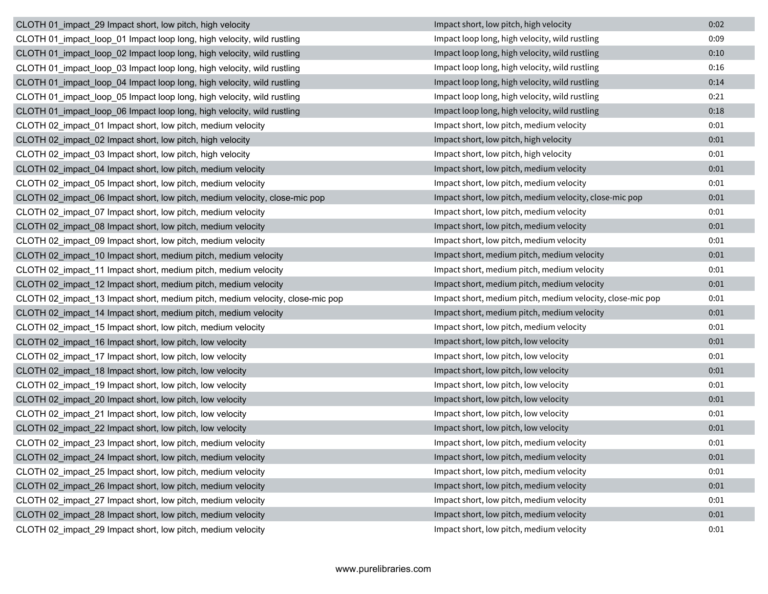| CLOTH 01_impact_29 Impact short, low pitch, high velocity                     | Impact short, low pitch, high velocity                     | 0:02 |
|-------------------------------------------------------------------------------|------------------------------------------------------------|------|
| CLOTH 01_impact_loop_01 Impact loop long, high velocity, wild rustling        | Impact loop long, high velocity, wild rustling             | 0:09 |
| CLOTH 01_impact_loop_02 Impact loop long, high velocity, wild rustling        | Impact loop long, high velocity, wild rustling             | 0:10 |
| CLOTH 01 impact loop 03 Impact loop long, high velocity, wild rustling        | Impact loop long, high velocity, wild rustling             | 0:16 |
| CLOTH 01_impact_loop_04 Impact loop long, high velocity, wild rustling        | Impact loop long, high velocity, wild rustling             | 0:14 |
| CLOTH 01_impact_loop_05 Impact loop long, high velocity, wild rustling        | Impact loop long, high velocity, wild rustling             | 0:21 |
| CLOTH 01_impact_loop_06 Impact loop long, high velocity, wild rustling        | Impact loop long, high velocity, wild rustling             | 0:18 |
| CLOTH 02_impact_01 Impact short, low pitch, medium velocity                   | Impact short, low pitch, medium velocity                   | 0:01 |
| CLOTH 02_impact_02 Impact short, low pitch, high velocity                     | Impact short, low pitch, high velocity                     | 0:01 |
| CLOTH 02_impact_03 Impact short, low pitch, high velocity                     | Impact short, low pitch, high velocity                     | 0:01 |
| CLOTH 02_impact_04 Impact short, low pitch, medium velocity                   | Impact short, low pitch, medium velocity                   | 0:01 |
| CLOTH 02_impact_05 Impact short, low pitch, medium velocity                   | Impact short, low pitch, medium velocity                   | 0:01 |
| CLOTH 02_impact_06 Impact short, low pitch, medium velocity, close-mic pop    | Impact short, low pitch, medium velocity, close-mic pop    | 0:01 |
| CLOTH 02_impact_07 Impact short, low pitch, medium velocity                   | Impact short, low pitch, medium velocity                   | 0:01 |
| CLOTH 02_impact_08 Impact short, low pitch, medium velocity                   | Impact short, low pitch, medium velocity                   | 0:01 |
| CLOTH 02 impact 09 Impact short, low pitch, medium velocity                   | Impact short, low pitch, medium velocity                   | 0:01 |
| CLOTH 02 impact 10 Impact short, medium pitch, medium velocity                | Impact short, medium pitch, medium velocity                | 0:01 |
| CLOTH 02 impact 11 Impact short, medium pitch, medium velocity                | Impact short, medium pitch, medium velocity                | 0:01 |
| CLOTH 02_impact_12 Impact short, medium pitch, medium velocity                | Impact short, medium pitch, medium velocity                | 0:01 |
| CLOTH 02_impact_13 Impact short, medium pitch, medium velocity, close-mic pop | Impact short, medium pitch, medium velocity, close-mic pop | 0:01 |
| CLOTH 02 impact 14 Impact short, medium pitch, medium velocity                | Impact short, medium pitch, medium velocity                | 0:01 |
| CLOTH 02_impact_15 Impact short, low pitch, medium velocity                   | Impact short, low pitch, medium velocity                   | 0:01 |
| CLOTH 02_impact_16 Impact short, low pitch, low velocity                      | Impact short, low pitch, low velocity                      | 0:01 |
| CLOTH 02_impact_17 Impact short, low pitch, low velocity                      | Impact short, low pitch, low velocity                      | 0:01 |
| CLOTH 02_impact_18 Impact short, low pitch, low velocity                      | Impact short, low pitch, low velocity                      | 0:01 |
| CLOTH 02_impact_19 Impact short, low pitch, low velocity                      | Impact short, low pitch, low velocity                      | 0:01 |
| CLOTH 02 impact 20 Impact short, low pitch, low velocity                      | Impact short, low pitch, low velocity                      | 0:01 |
| CLOTH 02_impact_21 Impact short, low pitch, low velocity                      | Impact short, low pitch, low velocity                      | 0:01 |
| CLOTH 02_impact_22 Impact short, low pitch, low velocity                      | Impact short, low pitch, low velocity                      | 0:01 |
| CLOTH 02_impact_23 Impact short, low pitch, medium velocity                   | Impact short, low pitch, medium velocity                   | 0:01 |
| CLOTH 02 impact 24 Impact short, low pitch, medium velocity                   | Impact short, low pitch, medium velocity                   | 0:01 |
| CLOTH 02_impact_25 Impact short, low pitch, medium velocity                   | Impact short, low pitch, medium velocity                   | 0:01 |
| CLOTH 02_impact_26 Impact short, low pitch, medium velocity                   | Impact short, low pitch, medium velocity                   | 0:01 |
| CLOTH 02_impact_27 Impact short, low pitch, medium velocity                   | Impact short, low pitch, medium velocity                   | 0:01 |
| CLOTH 02 impact 28 Impact short, low pitch, medium velocity                   | Impact short, low pitch, medium velocity                   | 0:01 |
| CLOTH 02_impact_29 Impact short, low pitch, medium velocity                   | Impact short, low pitch, medium velocity                   | 0:01 |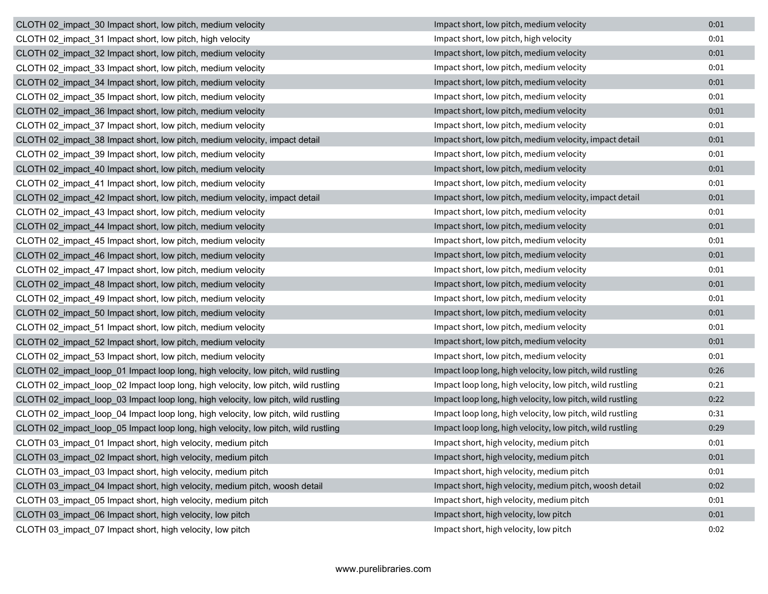| CLOTH 02_impact_30 Impact short, low pitch, medium velocity                       | Impact short, low pitch, medium velocity                  | 0:01 |
|-----------------------------------------------------------------------------------|-----------------------------------------------------------|------|
| CLOTH 02 impact 31 Impact short, low pitch, high velocity                         | Impact short, low pitch, high velocity                    | 0:01 |
| CLOTH 02_impact_32 Impact short, low pitch, medium velocity                       | Impact short, low pitch, medium velocity                  | 0:01 |
| CLOTH 02 impact 33 Impact short, low pitch, medium velocity                       | Impact short, low pitch, medium velocity                  | 0:01 |
| CLOTH 02_impact_34 Impact short, low pitch, medium velocity                       | Impact short, low pitch, medium velocity                  | 0:01 |
| CLOTH 02_impact_35 Impact short, low pitch, medium velocity                       | Impact short, low pitch, medium velocity                  | 0:01 |
| CLOTH 02_impact_36 Impact short, low pitch, medium velocity                       | Impact short, low pitch, medium velocity                  | 0:01 |
| CLOTH 02_impact_37 Impact short, low pitch, medium velocity                       | Impact short, low pitch, medium velocity                  | 0:01 |
| CLOTH 02_impact_38 Impact short, low pitch, medium velocity, impact detail        | Impact short, low pitch, medium velocity, impact detail   | 0:01 |
| CLOTH 02_impact_39 Impact short, low pitch, medium velocity                       | Impact short, low pitch, medium velocity                  | 0:01 |
| CLOTH 02_impact_40 Impact short, low pitch, medium velocity                       | Impact short, low pitch, medium velocity                  | 0:01 |
| CLOTH 02_impact_41 Impact short, low pitch, medium velocity                       | Impact short, low pitch, medium velocity                  | 0:01 |
| CLOTH 02_impact_42 Impact short, low pitch, medium velocity, impact detail        | Impact short, low pitch, medium velocity, impact detail   | 0:01 |
| CLOTH 02_impact_43 Impact short, low pitch, medium velocity                       | Impact short, low pitch, medium velocity                  | 0:01 |
| CLOTH 02_impact_44 Impact short, low pitch, medium velocity                       | Impact short, low pitch, medium velocity                  | 0:01 |
| CLOTH 02_impact_45 Impact short, low pitch, medium velocity                       | Impact short, low pitch, medium velocity                  | 0:01 |
| CLOTH 02_impact_46 Impact short, low pitch, medium velocity                       | Impact short, low pitch, medium velocity                  | 0:01 |
| CLOTH 02_impact_47 Impact short, low pitch, medium velocity                       | Impact short, low pitch, medium velocity                  | 0:01 |
| CLOTH 02 impact 48 Impact short, low pitch, medium velocity                       | Impact short, low pitch, medium velocity                  | 0:01 |
| CLOTH 02_impact_49 Impact short, low pitch, medium velocity                       | Impact short, low pitch, medium velocity                  | 0:01 |
| CLOTH 02_impact_50 Impact short, low pitch, medium velocity                       | Impact short, low pitch, medium velocity                  | 0:01 |
| CLOTH 02_impact_51 Impact short, low pitch, medium velocity                       | Impact short, low pitch, medium velocity                  | 0:01 |
| CLOTH 02_impact_52 Impact short, low pitch, medium velocity                       | Impact short, low pitch, medium velocity                  | 0:01 |
| CLOTH 02_impact_53 Impact short, low pitch, medium velocity                       | Impact short, low pitch, medium velocity                  | 0:01 |
| CLOTH 02_impact_loop_01 Impact loop long, high velocity, low pitch, wild rustling | Impact loop long, high velocity, low pitch, wild rustling | 0:26 |
| CLOTH 02_impact_loop_02 Impact loop long, high velocity, low pitch, wild rustling | Impact loop long, high velocity, low pitch, wild rustling | 0:21 |
| CLOTH 02_impact_loop_03 Impact loop long, high velocity, low pitch, wild rustling | Impact loop long, high velocity, low pitch, wild rustling | 0:22 |
| CLOTH 02_impact_loop_04 Impact loop long, high velocity, low pitch, wild rustling | Impact loop long, high velocity, low pitch, wild rustling | 0:31 |
| CLOTH 02_impact_loop_05 Impact loop long, high velocity, low pitch, wild rustling | Impact loop long, high velocity, low pitch, wild rustling | 0:29 |
| CLOTH 03_impact_01 Impact short, high velocity, medium pitch                      | Impact short, high velocity, medium pitch                 | 0:01 |
| CLOTH 03_impact_02 Impact short, high velocity, medium pitch                      | Impact short, high velocity, medium pitch                 | 0:01 |
| CLOTH 03_impact_03 Impact short, high velocity, medium pitch                      | Impact short, high velocity, medium pitch                 | 0:01 |
| CLOTH 03 impact 04 Impact short, high velocity, medium pitch, woosh detail        | Impact short, high velocity, medium pitch, woosh detail   | 0:02 |
| CLOTH 03 impact 05 Impact short, high velocity, medium pitch                      | Impact short, high velocity, medium pitch                 | 0:01 |
| CLOTH 03 impact 06 Impact short, high velocity, low pitch                         | Impact short, high velocity, low pitch                    | 0:01 |
| CLOTH 03_impact_07 Impact short, high velocity, low pitch                         | Impact short, high velocity, low pitch                    | 0:02 |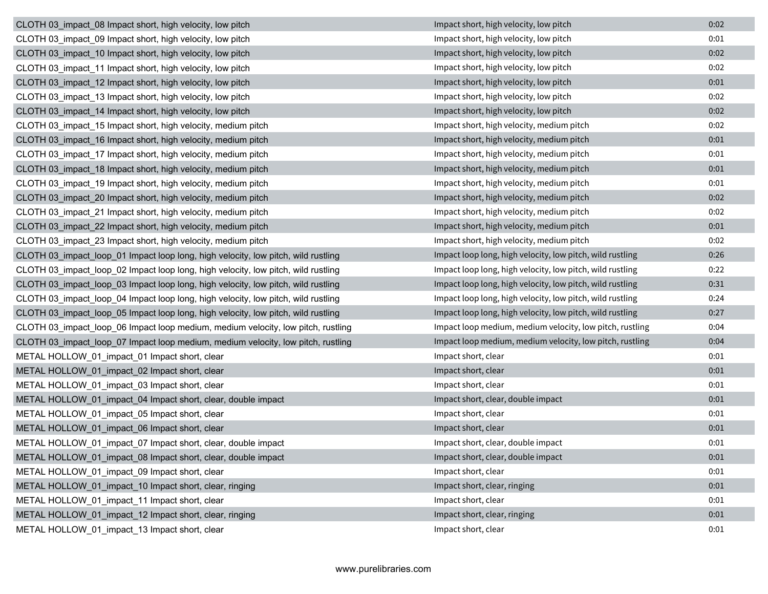| CLOTH 03_impact_08 Impact short, high velocity, low pitch                         | Impact short, high velocity, low pitch                    | 0:02 |
|-----------------------------------------------------------------------------------|-----------------------------------------------------------|------|
| CLOTH 03 impact 09 Impact short, high velocity, low pitch                         | Impact short, high velocity, low pitch                    | 0:01 |
| CLOTH 03_impact_10 Impact short, high velocity, low pitch                         | Impact short, high velocity, low pitch                    | 0:02 |
| CLOTH 03 impact 11 Impact short, high velocity, low pitch                         | Impact short, high velocity, low pitch                    | 0:02 |
| CLOTH 03_impact_12 Impact short, high velocity, low pitch                         | Impact short, high velocity, low pitch                    | 0:01 |
| CLOTH 03_impact_13 Impact short, high velocity, low pitch                         | Impact short, high velocity, low pitch                    | 0:02 |
| CLOTH 03_impact_14 Impact short, high velocity, low pitch                         | Impact short, high velocity, low pitch                    | 0:02 |
| CLOTH 03_impact_15 Impact short, high velocity, medium pitch                      | Impact short, high velocity, medium pitch                 | 0:02 |
| CLOTH 03_impact_16 Impact short, high velocity, medium pitch                      | Impact short, high velocity, medium pitch                 | 0:01 |
| CLOTH 03_impact_17 Impact short, high velocity, medium pitch                      | Impact short, high velocity, medium pitch                 | 0:01 |
| CLOTH 03_impact_18 Impact short, high velocity, medium pitch                      | Impact short, high velocity, medium pitch                 | 0:01 |
| CLOTH 03_impact_19 Impact short, high velocity, medium pitch                      | Impact short, high velocity, medium pitch                 | 0:01 |
| CLOTH 03_impact_20 Impact short, high velocity, medium pitch                      | Impact short, high velocity, medium pitch                 | 0:02 |
| CLOTH 03_impact_21 Impact short, high velocity, medium pitch                      | Impact short, high velocity, medium pitch                 | 0:02 |
| CLOTH 03 impact 22 Impact short, high velocity, medium pitch                      | Impact short, high velocity, medium pitch                 | 0:01 |
| CLOTH 03_impact_23 Impact short, high velocity, medium pitch                      | Impact short, high velocity, medium pitch                 | 0:02 |
| CLOTH 03 impact loop 01 Impact loop long, high velocity, low pitch, wild rustling | Impact loop long, high velocity, low pitch, wild rustling | 0:26 |
| CLOTH 03_impact_loop_02 Impact loop long, high velocity, low pitch, wild rustling | Impact loop long, high velocity, low pitch, wild rustling | 0:22 |
| CLOTH 03 impact loop 03 Impact loop long, high velocity, low pitch, wild rustling | Impact loop long, high velocity, low pitch, wild rustling | 0:31 |
| CLOTH 03_impact_loop_04 Impact loop long, high velocity, low pitch, wild rustling | Impact loop long, high velocity, low pitch, wild rustling | 0:24 |
| CLOTH 03_impact_loop_05 Impact loop long, high velocity, low pitch, wild rustling | Impact loop long, high velocity, low pitch, wild rustling | 0:27 |
| CLOTH 03_impact_loop_06 Impact loop medium, medium velocity, low pitch, rustling  | Impact loop medium, medium velocity, low pitch, rustling  | 0:04 |
| CLOTH 03_impact_loop_07 Impact loop medium, medium velocity, low pitch, rustling  | Impact loop medium, medium velocity, low pitch, rustling  | 0:04 |
| METAL HOLLOW_01_impact_01 Impact short, clear                                     | Impact short, clear                                       | 0:01 |
| METAL HOLLOW_01_impact_02 Impact short, clear                                     | Impact short, clear                                       | 0:01 |
| METAL HOLLOW_01_impact_03 Impact short, clear                                     | Impact short, clear                                       | 0:01 |
| METAL HOLLOW_01_impact_04 Impact short, clear, double impact                      | Impact short, clear, double impact                        | 0:01 |
| METAL HOLLOW_01_impact_05 Impact short, clear                                     | Impact short, clear                                       | 0:01 |
| METAL HOLLOW_01_impact_06 Impact short, clear                                     | Impact short, clear                                       | 0:01 |
| METAL HOLLOW_01_impact_07 Impact short, clear, double impact                      | Impact short, clear, double impact                        | 0:01 |
| METAL HOLLOW 01 impact 08 Impact short, clear, double impact                      | Impact short, clear, double impact                        | 0:01 |
| METAL HOLLOW 01 impact 09 Impact short, clear                                     | Impact short, clear                                       | 0:01 |
| METAL HOLLOW 01 impact 10 Impact short, clear, ringing                            | Impact short, clear, ringing                              | 0:01 |
| METAL HOLLOW 01 impact 11 Impact short, clear                                     | Impact short, clear                                       | 0:01 |
| METAL HOLLOW 01 impact 12 Impact short, clear, ringing                            | Impact short, clear, ringing                              | 0:01 |
| METAL HOLLOW_01_impact_13 Impact short, clear                                     | Impact short, clear                                       | 0:01 |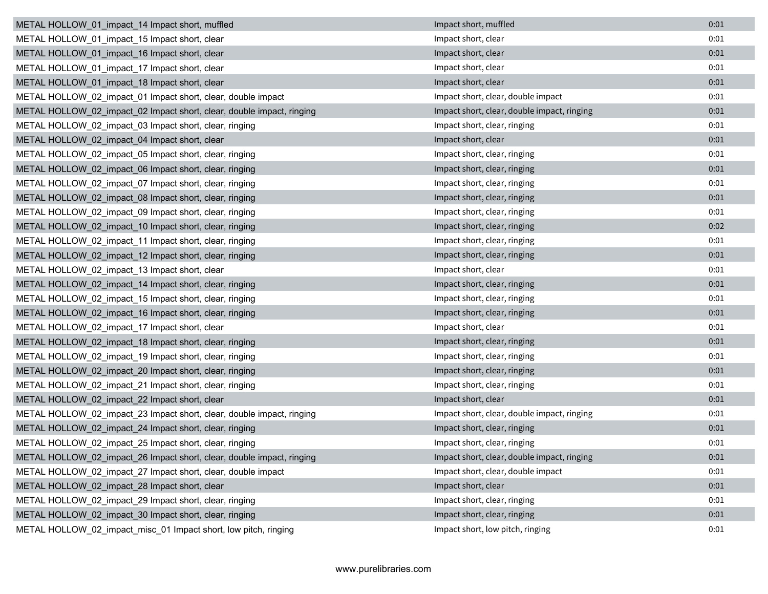| METAL HOLLOW_01_impact_14 Impact short, muffled                       | Impact short, muffled                       | 0:01 |
|-----------------------------------------------------------------------|---------------------------------------------|------|
| METAL HOLLOW_01_impact_15 Impact short, clear                         | Impact short, clear                         | 0:01 |
| METAL HOLLOW 01 impact 16 Impact short, clear                         | Impact short, clear                         | 0:01 |
| METAL HOLLOW_01_impact_17 Impact short, clear                         | Impact short, clear                         | 0:01 |
| METAL HOLLOW 01 impact 18 Impact short, clear                         | Impact short, clear                         | 0:01 |
| METAL HOLLOW_02_impact_01 Impact short, clear, double impact          | Impact short, clear, double impact          | 0:01 |
| METAL HOLLOW_02_impact_02 Impact short, clear, double impact, ringing | Impact short, clear, double impact, ringing | 0:01 |
| METAL HOLLOW 02 impact 03 Impact short, clear, ringing                | Impact short, clear, ringing                | 0:01 |
| METAL HOLLOW_02_impact_04 Impact short, clear                         | Impact short, clear                         | 0:01 |
| METAL HOLLOW_02_impact_05 Impact short, clear, ringing                | Impact short, clear, ringing                | 0:01 |
| METAL HOLLOW_02_impact_06 Impact short, clear, ringing                | Impact short, clear, ringing                | 0:01 |
| METAL HOLLOW_02_impact_07 Impact short, clear, ringing                | Impact short, clear, ringing                | 0:01 |
| METAL HOLLOW_02_impact_08 Impact short, clear, ringing                | Impact short, clear, ringing                | 0:01 |
| METAL HOLLOW 02 impact 09 Impact short, clear, ringing                | Impact short, clear, ringing                | 0:01 |
| METAL HOLLOW_02_impact_10 Impact short, clear, ringing                | Impact short, clear, ringing                | 0:02 |
| METAL HOLLOW_02_impact_11 Impact short, clear, ringing                | Impact short, clear, ringing                | 0:01 |
| METAL HOLLOW_02_impact_12 Impact short, clear, ringing                | Impact short, clear, ringing                | 0:01 |
| METAL HOLLOW_02_impact_13 Impact short, clear                         | Impact short, clear                         | 0:01 |
| METAL HOLLOW_02_impact_14 Impact short, clear, ringing                | Impact short, clear, ringing                | 0:01 |
| METAL HOLLOW_02_impact_15 Impact short, clear, ringing                | Impact short, clear, ringing                | 0:01 |
| METAL HOLLOW_02_impact_16 Impact short, clear, ringing                | Impact short, clear, ringing                | 0:01 |
| METAL HOLLOW_02_impact_17 Impact short, clear                         | Impact short, clear                         | 0:01 |
| METAL HOLLOW_02_impact_18 Impact short, clear, ringing                | Impact short, clear, ringing                | 0:01 |
| METAL HOLLOW_02_impact_19 Impact short, clear, ringing                | Impact short, clear, ringing                | 0:01 |
| METAL HOLLOW_02_impact_20 Impact short, clear, ringing                | Impact short, clear, ringing                | 0:01 |
| METAL HOLLOW_02_impact_21 Impact short, clear, ringing                | Impact short, clear, ringing                | 0:01 |
| METAL HOLLOW 02 impact 22 Impact short, clear                         | Impact short, clear                         | 0:01 |
| METAL HOLLOW 02 impact 23 Impact short, clear, double impact, ringing | Impact short, clear, double impact, ringing | 0:01 |
| METAL HOLLOW 02 impact 24 Impact short, clear, ringing                | Impact short, clear, ringing                | 0:01 |
| METAL HOLLOW_02_impact_25 Impact short, clear, ringing                | Impact short, clear, ringing                | 0:01 |
| METAL HOLLOW_02_impact_26 Impact short, clear, double impact, ringing | Impact short, clear, double impact, ringing | 0:01 |
| METAL HOLLOW 02 impact 27 Impact short, clear, double impact          | Impact short, clear, double impact          | 0:01 |
| METAL HOLLOW_02_impact_28 Impact short, clear                         | Impact short, clear                         | 0:01 |
| METAL HOLLOW 02 impact 29 Impact short, clear, ringing                | Impact short, clear, ringing                | 0:01 |
| METAL HOLLOW 02 impact 30 Impact short, clear, ringing                | Impact short, clear, ringing                | 0:01 |
| METAL HOLLOW_02_impact_misc_01 Impact short, low pitch, ringing       | Impact short, low pitch, ringing            | 0:01 |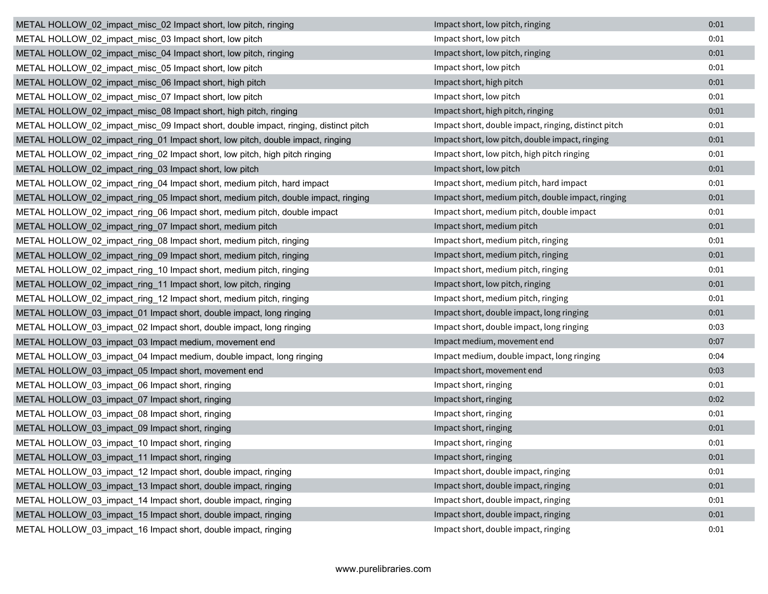| METAL HOLLOW_02_impact_misc_02 Impact short, low pitch, ringing                     | Impact short, low pitch, ringing                     | 0:01 |
|-------------------------------------------------------------------------------------|------------------------------------------------------|------|
| METAL HOLLOW 02 impact misc 03 Impact short, low pitch                              | Impact short, low pitch                              | 0:01 |
| METAL HOLLOW_02_impact_misc_04 Impact short, low pitch, ringing                     | Impact short, low pitch, ringing                     | 0:01 |
| METAL HOLLOW_02_impact_misc_05 Impact short, low pitch                              | Impact short, low pitch                              | 0:01 |
| METAL HOLLOW_02_impact_misc_06 Impact short, high pitch                             | Impact short, high pitch                             | 0:01 |
| METAL HOLLOW_02_impact_misc_07 Impact short, low pitch                              | Impact short, low pitch                              | 0:01 |
| METAL HOLLOW_02_impact_misc_08 Impact short, high pitch, ringing                    | Impact short, high pitch, ringing                    | 0:01 |
| METAL HOLLOW_02_impact_misc_09 Impact short, double impact, ringing, distinct pitch | Impact short, double impact, ringing, distinct pitch | 0:01 |
| METAL HOLLOW_02_impact_ring_01 Impact short, low pitch, double impact, ringing      | Impact short, low pitch, double impact, ringing      | 0:01 |
| METAL HOLLOW_02_impact_ring_02 Impact short, low pitch, high pitch ringing          | Impact short, low pitch, high pitch ringing          | 0:01 |
| METAL HOLLOW_02_impact_ring_03 Impact short, low pitch                              | Impact short, low pitch                              | 0:01 |
| METAL HOLLOW_02_impact_ring_04 Impact short, medium pitch, hard impact              | Impact short, medium pitch, hard impact              | 0:01 |
| METAL HOLLOW_02_impact_ring_05 Impact short, medium pitch, double impact, ringing   | Impact short, medium pitch, double impact, ringing   | 0:01 |
| METAL HOLLOW_02_impact_ring_06 Impact short, medium pitch, double impact            | Impact short, medium pitch, double impact            | 0:01 |
| METAL HOLLOW_02_impact_ring_07 Impact short, medium pitch                           | Impact short, medium pitch                           | 0:01 |
| METAL HOLLOW_02_impact_ring_08 Impact short, medium pitch, ringing                  | Impact short, medium pitch, ringing                  | 0:01 |
| METAL HOLLOW_02_impact_ring_09 Impact short, medium pitch, ringing                  | Impact short, medium pitch, ringing                  | 0:01 |
| METAL HOLLOW_02_impact_ring_10 Impact short, medium pitch, ringing                  | Impact short, medium pitch, ringing                  | 0:01 |
| METAL HOLLOW_02_impact_ring_11 Impact short, low pitch, ringing                     | Impact short, low pitch, ringing                     | 0:01 |
| METAL HOLLOW_02_impact_ring_12 Impact short, medium pitch, ringing                  | Impact short, medium pitch, ringing                  | 0:01 |
| METAL HOLLOW_03_impact_01 Impact short, double impact, long ringing                 | Impact short, double impact, long ringing            | 0:01 |
| METAL HOLLOW_03_impact_02 Impact short, double impact, long ringing                 | Impact short, double impact, long ringing            | 0:03 |
| METAL HOLLOW_03_impact_03 Impact medium, movement end                               | Impact medium, movement end                          | 0:07 |
| METAL HOLLOW_03_impact_04 Impact medium, double impact, long ringing                | Impact medium, double impact, long ringing           | 0:04 |
| METAL HOLLOW_03_impact_05 Impact short, movement end                                | Impact short, movement end                           | 0:03 |
| METAL HOLLOW_03_impact_06 Impact short, ringing                                     | Impact short, ringing                                | 0:01 |
| METAL HOLLOW_03_impact_07 Impact short, ringing                                     | Impact short, ringing                                | 0:02 |
| METAL HOLLOW 03 impact 08 Impact short, ringing                                     | Impact short, ringing                                | 0:01 |
| METAL HOLLOW_03_impact_09 Impact short, ringing                                     | Impact short, ringing                                | 0:01 |
| METAL HOLLOW_03_impact_10 Impact short, ringing                                     | Impact short, ringing                                | 0:01 |
| METAL HOLLOW 03 impact 11 Impact short, ringing                                     | Impact short, ringing                                | 0:01 |
| METAL HOLLOW_03_impact_12 Impact short, double impact, ringing                      | Impact short, double impact, ringing                 | 0:01 |
| METAL HOLLOW_03_impact_13 Impact short, double impact, ringing                      | Impact short, double impact, ringing                 | 0:01 |
| METAL HOLLOW_03_impact_14 Impact short, double impact, ringing                      | Impact short, double impact, ringing                 | 0:01 |
| METAL HOLLOW 03 impact 15 Impact short, double impact, ringing                      | Impact short, double impact, ringing                 | 0:01 |
| METAL HOLLOW_03_impact_16 Impact short, double impact, ringing                      | Impact short, double impact, ringing                 | 0:01 |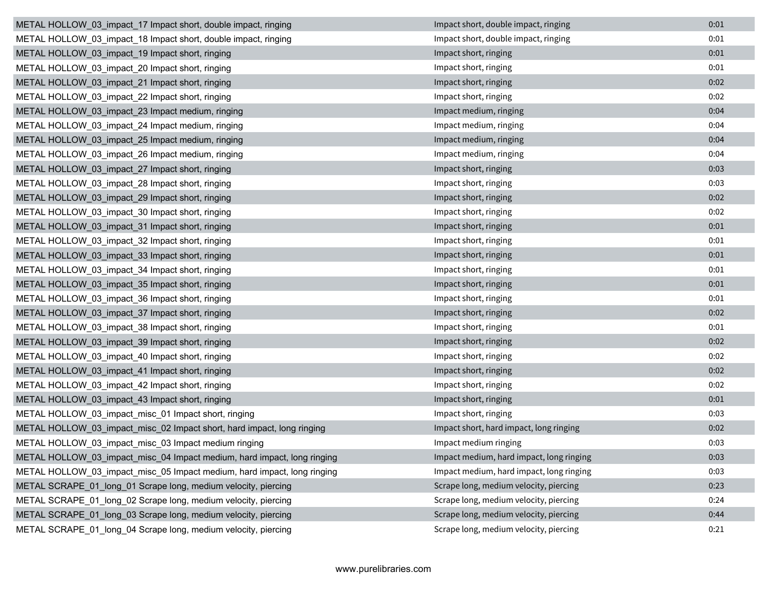| METAL HOLLOW_03_impact_17 Impact short, double impact, ringing          | Impact short, double impact, ringing     | 0:01 |
|-------------------------------------------------------------------------|------------------------------------------|------|
| METAL HOLLOW_03_impact_18 Impact short, double impact, ringing          | Impact short, double impact, ringing     | 0:01 |
| METAL HOLLOW 03 impact 19 Impact short, ringing                         | Impact short, ringing                    | 0:01 |
| METAL HOLLOW_03_impact_20 Impact short, ringing                         | Impact short, ringing                    | 0:01 |
| METAL HOLLOW_03_impact_21 Impact short, ringing                         | Impact short, ringing                    | 0:02 |
| METAL HOLLOW_03_impact_22 Impact short, ringing                         | Impact short, ringing                    | 0:02 |
| METAL HOLLOW_03_impact_23 Impact medium, ringing                        | Impact medium, ringing                   | 0:04 |
| METAL HOLLOW_03_impact_24 Impact medium, ringing                        | Impact medium, ringing                   | 0:04 |
| METAL HOLLOW_03_impact_25 Impact medium, ringing                        | Impact medium, ringing                   | 0:04 |
| METAL HOLLOW_03_impact_26 Impact medium, ringing                        | Impact medium, ringing                   | 0:04 |
| METAL HOLLOW_03_impact_27 Impact short, ringing                         | Impact short, ringing                    | 0:03 |
| METAL HOLLOW_03_impact_28 Impact short, ringing                         | Impact short, ringing                    | 0:03 |
| METAL HOLLOW 03_impact_29 Impact short, ringing                         | Impact short, ringing                    | 0:02 |
| METAL HOLLOW_03_impact_30 Impact short, ringing                         | Impact short, ringing                    | 0:02 |
| METAL HOLLOW_03_impact_31 Impact short, ringing                         | Impact short, ringing                    | 0:01 |
| METAL HOLLOW_03_impact_32 Impact short, ringing                         | Impact short, ringing                    | 0:01 |
| METAL HOLLOW_03_impact_33 Impact short, ringing                         | Impact short, ringing                    | 0:01 |
| METAL HOLLOW 03 impact 34 Impact short, ringing                         | Impact short, ringing                    | 0:01 |
| METAL HOLLOW_03_impact_35 Impact short, ringing                         | Impact short, ringing                    | 0:01 |
| METAL HOLLOW 03 impact 36 Impact short, ringing                         | Impact short, ringing                    | 0:01 |
| METAL HOLLOW_03_impact_37 Impact short, ringing                         | Impact short, ringing                    | 0:02 |
| METAL HOLLOW_03_impact_38 Impact short, ringing                         | Impact short, ringing                    | 0:01 |
| METAL HOLLOW_03_impact_39 Impact short, ringing                         | Impact short, ringing                    | 0:02 |
| METAL HOLLOW_03_impact_40 Impact short, ringing                         | Impact short, ringing                    | 0:02 |
| METAL HOLLOW_03_impact_41 Impact short, ringing                         | Impact short, ringing                    | 0:02 |
| METAL HOLLOW_03_impact_42 Impact short, ringing                         | Impact short, ringing                    | 0:02 |
| METAL HOLLOW_03_impact_43 Impact short, ringing                         | Impact short, ringing                    | 0:01 |
| METAL HOLLOW_03_impact_misc_01 Impact short, ringing                    | Impact short, ringing                    | 0:03 |
| METAL HOLLOW_03_impact_misc_02 Impact short, hard impact, long ringing  | Impact short, hard impact, long ringing  | 0:02 |
| METAL HOLLOW_03_impact_misc_03 Impact medium ringing                    | Impact medium ringing                    | 0:03 |
| METAL HOLLOW_03_impact_misc_04 Impact medium, hard impact, long ringing | Impact medium, hard impact, long ringing | 0:03 |
| METAL HOLLOW_03_impact_misc_05 Impact medium, hard impact, long ringing | Impact medium, hard impact, long ringing | 0:03 |
| METAL SCRAPE_01_long_01 Scrape long, medium velocity, piercing          | Scrape long, medium velocity, piercing   | 0:23 |
| METAL SCRAPE_01_long_02 Scrape long, medium velocity, piercing          | Scrape long, medium velocity, piercing   | 0:24 |
| METAL SCRAPE 01 long 03 Scrape long, medium velocity, piercing          | Scrape long, medium velocity, piercing   | 0:44 |
| METAL SCRAPE_01_long_04 Scrape long, medium velocity, piercing          | Scrape long, medium velocity, piercing   | 0:21 |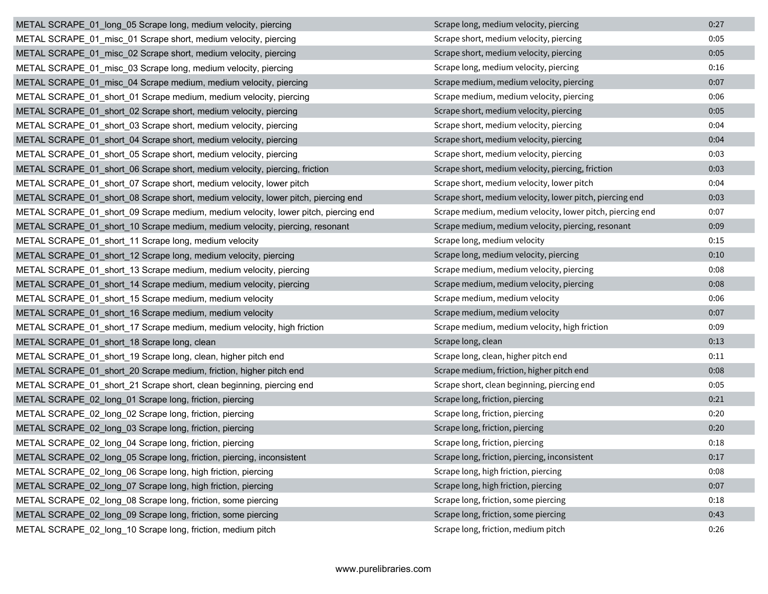| METAL SCRAPE_01_long_05 Scrape long, medium velocity, piercing                     | Scrape long, medium velocity, piercing                    | 0:27 |
|------------------------------------------------------------------------------------|-----------------------------------------------------------|------|
| METAL SCRAPE_01_misc_01 Scrape short, medium velocity, piercing                    | Scrape short, medium velocity, piercing                   | 0:05 |
| METAL SCRAPE_01_misc_02 Scrape short, medium velocity, piercing                    | Scrape short, medium velocity, piercing                   | 0:05 |
| METAL SCRAPE_01_misc_03 Scrape long, medium velocity, piercing                     | Scrape long, medium velocity, piercing                    | 0:16 |
| METAL SCRAPE_01_misc_04 Scrape medium, medium velocity, piercing                   | Scrape medium, medium velocity, piercing                  | 0:07 |
| METAL SCRAPE_01_short_01 Scrape medium, medium velocity, piercing                  | Scrape medium, medium velocity, piercing                  | 0:06 |
| METAL SCRAPE 01 short 02 Scrape short, medium velocity, piercing                   | Scrape short, medium velocity, piercing                   | 0:05 |
| METAL SCRAPE 01 short 03 Scrape short, medium velocity, piercing                   | Scrape short, medium velocity, piercing                   | 0:04 |
| METAL SCRAPE_01_short_04 Scrape short, medium velocity, piercing                   | Scrape short, medium velocity, piercing                   | 0:04 |
| METAL SCRAPE_01_short_05 Scrape short, medium velocity, piercing                   | Scrape short, medium velocity, piercing                   | 0:03 |
| METAL SCRAPE_01_short_06 Scrape short, medium velocity, piercing, friction         | Scrape short, medium velocity, piercing, friction         | 0:03 |
| METAL SCRAPE_01_short_07 Scrape short, medium velocity, lower pitch                | Scrape short, medium velocity, lower pitch                | 0:04 |
| METAL SCRAPE_01_short_08 Scrape short, medium velocity, lower pitch, piercing end  | Scrape short, medium velocity, lower pitch, piercing end  | 0:03 |
| METAL SCRAPE 01 short 09 Scrape medium, medium velocity, lower pitch, piercing end | Scrape medium, medium velocity, lower pitch, piercing end | 0:07 |
| METAL SCRAPE_01_short_10 Scrape medium, medium velocity, piercing, resonant        | Scrape medium, medium velocity, piercing, resonant        | 0:09 |
| METAL SCRAPE_01_short_11 Scrape long, medium velocity                              | Scrape long, medium velocity                              | 0:15 |
| METAL SCRAPE_01_short_12 Scrape long, medium velocity, piercing                    | Scrape long, medium velocity, piercing                    | 0:10 |
| METAL SCRAPE_01_short_13 Scrape medium, medium velocity, piercing                  | Scrape medium, medium velocity, piercing                  | 0:08 |
| METAL SCRAPE 01 short 14 Scrape medium, medium velocity, piercing                  | Scrape medium, medium velocity, piercing                  | 0:08 |
| METAL SCRAPE_01_short_15 Scrape medium, medium velocity                            | Scrape medium, medium velocity                            | 0:06 |
| METAL SCRAPE_01_short_16 Scrape medium, medium velocity                            | Scrape medium, medium velocity                            | 0:07 |
| METAL SCRAPE_01_short_17 Scrape medium, medium velocity, high friction             | Scrape medium, medium velocity, high friction             | 0:09 |
| METAL SCRAPE_01_short_18 Scrape long, clean                                        | Scrape long, clean                                        | 0:13 |
| METAL SCRAPE_01_short_19 Scrape long, clean, higher pitch end                      | Scrape long, clean, higher pitch end                      | 0:11 |
| METAL SCRAPE_01_short_20 Scrape medium, friction, higher pitch end                 | Scrape medium, friction, higher pitch end                 | 0:08 |
| METAL SCRAPE_01_short_21 Scrape short, clean beginning, piercing end               | Scrape short, clean beginning, piercing end               | 0:05 |
| METAL SCRAPE_02_long_01 Scrape long, friction, piercing                            | Scrape long, friction, piercing                           | 0:21 |
| METAL SCRAPE_02_long_02 Scrape long, friction, piercing                            | Scrape long, friction, piercing                           | 0:20 |
| METAL SCRAPE 02 long 03 Scrape long, friction, piercing                            | Scrape long, friction, piercing                           | 0:20 |
| METAL SCRAPE 02 long 04 Scrape long, friction, piercing                            | Scrape long, friction, piercing                           | 0:18 |
| METAL SCRAPE_02_long_05 Scrape long, friction, piercing, inconsistent              | Scrape long, friction, piercing, inconsistent             | 0:17 |
| METAL SCRAPE_02_long_06 Scrape long, high friction, piercing                       | Scrape long, high friction, piercing                      | 0:08 |
| METAL SCRAPE_02_long_07 Scrape long, high friction, piercing                       | Scrape long, high friction, piercing                      | 0:07 |
| METAL SCRAPE 02 long 08 Scrape long, friction, some piercing                       | Scrape long, friction, some piercing                      | 0:18 |
| METAL SCRAPE 02 long 09 Scrape long, friction, some piercing                       | Scrape long, friction, some piercing                      | 0:43 |
| METAL SCRAPE_02_long_10 Scrape long, friction, medium pitch                        | Scrape long, friction, medium pitch                       | 0:26 |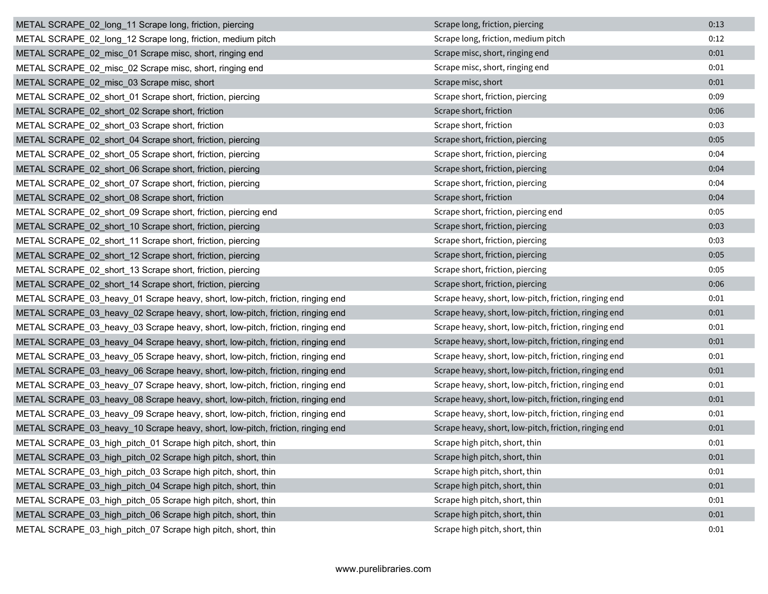| METAL SCRAPE 02 long 11 Scrape long, friction, piercing                        | Scrape long, friction, piercing                       | 0:13 |
|--------------------------------------------------------------------------------|-------------------------------------------------------|------|
| METAL SCRAPE 02 long 12 Scrape long, friction, medium pitch                    | Scrape long, friction, medium pitch                   | 0:12 |
| METAL SCRAPE_02_misc_01 Scrape misc, short, ringing end                        | Scrape misc, short, ringing end                       | 0:01 |
| METAL SCRAPE_02_misc_02 Scrape misc, short, ringing end                        | Scrape misc, short, ringing end                       | 0:01 |
| METAL SCRAPE_02_misc_03 Scrape misc, short                                     | Scrape misc, short                                    | 0:01 |
| METAL SCRAPE_02_short_01 Scrape short, friction, piercing                      | Scrape short, friction, piercing                      | 0:09 |
| METAL SCRAPE_02_short_02 Scrape short, friction                                | Scrape short, friction                                | 0:06 |
| METAL SCRAPE_02_short_03 Scrape short, friction                                | Scrape short, friction                                | 0:03 |
| METAL SCRAPE_02_short_04 Scrape short, friction, piercing                      | Scrape short, friction, piercing                      | 0:05 |
| METAL SCRAPE_02_short_05 Scrape short, friction, piercing                      | Scrape short, friction, piercing                      | 0:04 |
| METAL SCRAPE_02_short_06 Scrape short, friction, piercing                      | Scrape short, friction, piercing                      | 0:04 |
| METAL SCRAPE_02_short_07 Scrape short, friction, piercing                      | Scrape short, friction, piercing                      | 0:04 |
| METAL SCRAPE_02_short_08 Scrape short, friction                                | Scrape short, friction                                | 0:04 |
| METAL SCRAPE_02_short_09 Scrape short, friction, piercing end                  | Scrape short, friction, piercing end                  | 0:05 |
| METAL SCRAPE_02_short_10 Scrape short, friction, piercing                      | Scrape short, friction, piercing                      | 0:03 |
| METAL SCRAPE_02_short_11 Scrape short, friction, piercing                      | Scrape short, friction, piercing                      | 0:03 |
| METAL SCRAPE_02_short_12 Scrape short, friction, piercing                      | Scrape short, friction, piercing                      | 0:05 |
| METAL SCRAPE_02_short_13 Scrape short, friction, piercing                      | Scrape short, friction, piercing                      | 0:05 |
| METAL SCRAPE_02_short_14 Scrape short, friction, piercing                      | Scrape short, friction, piercing                      | 0:06 |
| METAL SCRAPE_03_heavy_01 Scrape heavy, short, low-pitch, friction, ringing end | Scrape heavy, short, low-pitch, friction, ringing end | 0:01 |
| METAL SCRAPE_03_heavy_02 Scrape heavy, short, low-pitch, friction, ringing end | Scrape heavy, short, low-pitch, friction, ringing end | 0:01 |
| METAL SCRAPE_03_heavy_03 Scrape heavy, short, low-pitch, friction, ringing end | Scrape heavy, short, low-pitch, friction, ringing end | 0:01 |
| METAL SCRAPE_03_heavy_04 Scrape heavy, short, low-pitch, friction, ringing end | Scrape heavy, short, low-pitch, friction, ringing end | 0:01 |
| METAL SCRAPE_03_heavy_05 Scrape heavy, short, low-pitch, friction, ringing end | Scrape heavy, short, low-pitch, friction, ringing end | 0:01 |
| METAL SCRAPE_03_heavy_06 Scrape heavy, short, low-pitch, friction, ringing end | Scrape heavy, short, low-pitch, friction, ringing end | 0:01 |
| METAL SCRAPE_03_heavy_07 Scrape heavy, short, low-pitch, friction, ringing end | Scrape heavy, short, low-pitch, friction, ringing end | 0:01 |
| METAL SCRAPE_03_heavy_08 Scrape heavy, short, low-pitch, friction, ringing end | Scrape heavy, short, low-pitch, friction, ringing end | 0:01 |
| METAL SCRAPE 03 heavy 09 Scrape heavy, short, low-pitch, friction, ringing end | Scrape heavy, short, low-pitch, friction, ringing end | 0:01 |
| METAL SCRAPE_03_heavy_10 Scrape heavy, short, low-pitch, friction, ringing end | Scrape heavy, short, low-pitch, friction, ringing end | 0:01 |
| METAL SCRAPE 03 high pitch 01 Scrape high pitch, short, thin                   | Scrape high pitch, short, thin                        | 0:01 |
| METAL SCRAPE_03_high_pitch_02 Scrape high pitch, short, thin                   | Scrape high pitch, short, thin                        | 0:01 |
| METAL SCRAPE_03_high_pitch_03 Scrape high pitch, short, thin                   | Scrape high pitch, short, thin                        | 0:01 |
| METAL SCRAPE_03_high_pitch_04 Scrape high pitch, short, thin                   | Scrape high pitch, short, thin                        | 0:01 |
| METAL SCRAPE_03_high_pitch_05 Scrape high pitch, short, thin                   | Scrape high pitch, short, thin                        | 0:01 |
| METAL SCRAPE 03 high pitch 06 Scrape high pitch, short, thin                   | Scrape high pitch, short, thin                        | 0:01 |
| METAL SCRAPE_03_high_pitch_07 Scrape high pitch, short, thin                   | Scrape high pitch, short, thin                        | 0:01 |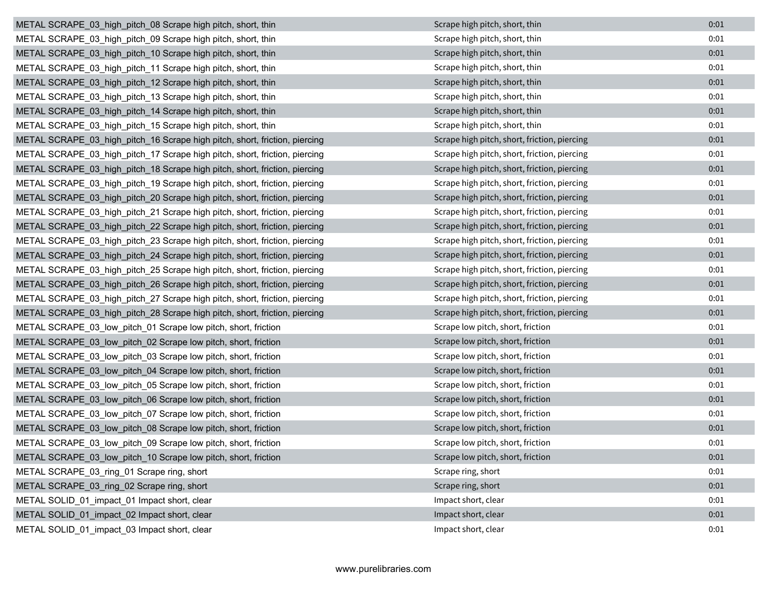| METAL SCRAPE_03_high_pitch_08 Scrape high pitch, short, thin               | Scrape high pitch, short, thin               | 0:01 |
|----------------------------------------------------------------------------|----------------------------------------------|------|
| METAL SCRAPE_03_high_pitch_09 Scrape high pitch, short, thin               | Scrape high pitch, short, thin               | 0:01 |
| METAL SCRAPE 03 high pitch 10 Scrape high pitch, short, thin               | Scrape high pitch, short, thin               | 0:01 |
| METAL SCRAPE_03_high_pitch_11 Scrape high pitch, short, thin               | Scrape high pitch, short, thin               | 0:01 |
| METAL SCRAPE 03 high pitch 12 Scrape high pitch, short, thin               | Scrape high pitch, short, thin               | 0:01 |
| METAL SCRAPE_03_high_pitch_13 Scrape high pitch, short, thin               | Scrape high pitch, short, thin               | 0:01 |
| METAL SCRAPE_03_high_pitch_14 Scrape high pitch, short, thin               | Scrape high pitch, short, thin               | 0:01 |
| METAL SCRAPE_03_high_pitch_15 Scrape high pitch, short, thin               | Scrape high pitch, short, thin               | 0:01 |
| METAL SCRAPE_03_high_pitch_16 Scrape high pitch, short, friction, piercing | Scrape high pitch, short, friction, piercing | 0:01 |
| METAL SCRAPE_03_high_pitch_17 Scrape high pitch, short, friction, piercing | Scrape high pitch, short, friction, piercing | 0:01 |
| METAL SCRAPE_03_high_pitch_18 Scrape high pitch, short, friction, piercing | Scrape high pitch, short, friction, piercing | 0:01 |
| METAL SCRAPE_03_high_pitch_19 Scrape high pitch, short, friction, piercing | Scrape high pitch, short, friction, piercing | 0:01 |
| METAL SCRAPE_03_high_pitch_20 Scrape high pitch, short, friction, piercing | Scrape high pitch, short, friction, piercing | 0:01 |
| METAL SCRAPE_03_high_pitch_21 Scrape high pitch, short, friction, piercing | Scrape high pitch, short, friction, piercing | 0:01 |
| METAL SCRAPE_03_high_pitch_22 Scrape high pitch, short, friction, piercing | Scrape high pitch, short, friction, piercing | 0:01 |
| METAL SCRAPE_03_high_pitch_23 Scrape high pitch, short, friction, piercing | Scrape high pitch, short, friction, piercing | 0:01 |
| METAL SCRAPE 03 high pitch 24 Scrape high pitch, short, friction, piercing | Scrape high pitch, short, friction, piercing | 0:01 |
| METAL SCRAPE 03 high pitch 25 Scrape high pitch, short, friction, piercing | Scrape high pitch, short, friction, piercing | 0:01 |
| METAL SCRAPE_03_high_pitch_26 Scrape high pitch, short, friction, piercing | Scrape high pitch, short, friction, piercing | 0:01 |
| METAL SCRAPE_03_high_pitch_27 Scrape high pitch, short, friction, piercing | Scrape high pitch, short, friction, piercing | 0:01 |
| METAL SCRAPE_03_high_pitch_28 Scrape high pitch, short, friction, piercing | Scrape high pitch, short, friction, piercing | 0:01 |
| METAL SCRAPE_03_low_pitch_01 Scrape low pitch, short, friction             | Scrape low pitch, short, friction            | 0:01 |
| METAL SCRAPE_03_low_pitch_02 Scrape low pitch, short, friction             | Scrape low pitch, short, friction            | 0:01 |
| METAL SCRAPE_03_low_pitch_03 Scrape low pitch, short, friction             | Scrape low pitch, short, friction            | 0:01 |
| METAL SCRAPE_03_low_pitch_04 Scrape low pitch, short, friction             | Scrape low pitch, short, friction            | 0:01 |
| METAL SCRAPE_03_low_pitch_05 Scrape low pitch, short, friction             | Scrape low pitch, short, friction            | 0:01 |
| METAL SCRAPE_03_low_pitch_06 Scrape low pitch, short, friction             | Scrape low pitch, short, friction            | 0:01 |
| METAL SCRAPE_03_low_pitch_07 Scrape low pitch, short, friction             | Scrape low pitch, short, friction            | 0:01 |
| METAL SCRAPE_03_low_pitch_08 Scrape low pitch, short, friction             | Scrape low pitch, short, friction            | 0:01 |
| METAL SCRAPE_03_low_pitch_09 Scrape low pitch, short, friction             | Scrape low pitch, short, friction            | 0:01 |
| METAL SCRAPE 03 low pitch 10 Scrape low pitch, short, friction             | Scrape low pitch, short, friction            | 0:01 |
| METAL SCRAPE 03 ring 01 Scrape ring, short                                 | Scrape ring, short                           | 0:01 |
| METAL SCRAPE_03_ring_02 Scrape ring, short                                 | Scrape ring, short                           | 0:01 |
| METAL SOLID_01_impact_01 Impact short, clear                               | Impact short, clear                          | 0:01 |
| METAL SOLID 01 impact 02 Impact short, clear                               | Impact short, clear                          | 0:01 |
| METAL SOLID_01_impact_03 Impact short, clear                               | Impact short, clear                          | 0:01 |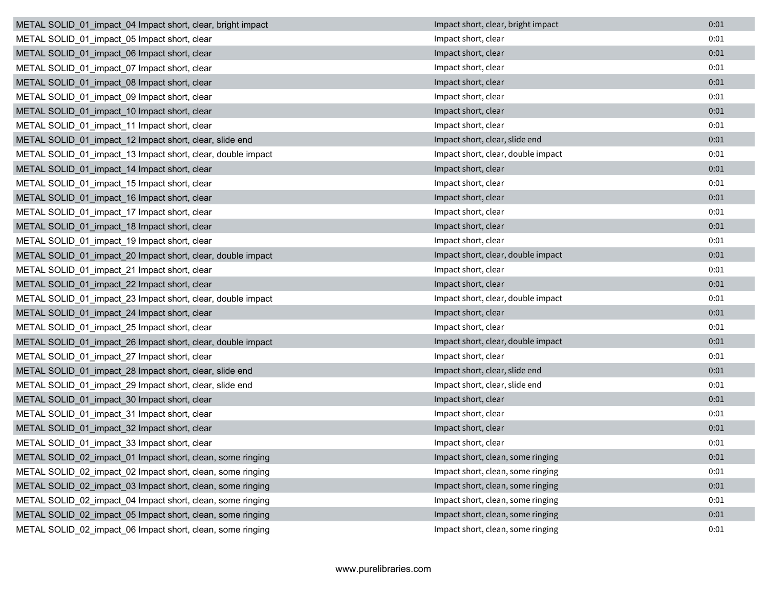| METAL SOLID 01 impact 04 Impact short, clear, bright impact | Impact short, clear, bright impact | 0:01 |
|-------------------------------------------------------------|------------------------------------|------|
| METAL SOLID_01_impact_05 Impact short, clear                | Impact short, clear                | 0:01 |
| METAL SOLID_01_impact_06 Impact short, clear                | Impact short, clear                | 0:01 |
| METAL SOLID 01 impact 07 Impact short, clear                | Impact short, clear                | 0:01 |
| METAL SOLID_01_impact_08 Impact short, clear                | Impact short, clear                | 0:01 |
| METAL SOLID_01_impact_09 Impact short, clear                | Impact short, clear                | 0:01 |
| METAL SOLID_01_impact_10 Impact short, clear                | Impact short, clear                | 0:01 |
| METAL SOLID_01_impact_11 Impact short, clear                | Impact short, clear                | 0:01 |
| METAL SOLID 01 impact 12 Impact short, clear, slide end     | Impact short, clear, slide end     | 0:01 |
| METAL SOLID_01_impact_13 Impact short, clear, double impact | Impact short, clear, double impact | 0:01 |
| METAL SOLID_01_impact_14 Impact short, clear                | Impact short, clear                | 0:01 |
| METAL SOLID_01_impact_15 Impact short, clear                | Impact short, clear                | 0:01 |
| METAL SOLID_01_impact_16 Impact short, clear                | Impact short, clear                | 0:01 |
| METAL SOLID_01_impact_17 Impact short, clear                | Impact short, clear                | 0:01 |
| METAL SOLID 01 impact 18 Impact short, clear                | Impact short, clear                | 0:01 |
| METAL SOLID_01_impact_19 Impact short, clear                | Impact short, clear                | 0:01 |
| METAL SOLID 01 impact 20 Impact short, clear, double impact | Impact short, clear, double impact | 0:01 |
| METAL SOLID_01_impact_21 Impact short, clear                | Impact short, clear                | 0:01 |
| METAL SOLID_01_impact_22 Impact short, clear                | Impact short, clear                | 0:01 |
| METAL SOLID_01_impact_23 Impact short, clear, double impact | Impact short, clear, double impact | 0:01 |
| METAL SOLID_01_impact_24 Impact short, clear                | Impact short, clear                | 0:01 |
| METAL SOLID_01_impact_25 Impact short, clear                | Impact short, clear                | 0:01 |
| METAL SOLID_01_impact_26 Impact short, clear, double impact | Impact short, clear, double impact | 0:01 |
| METAL SOLID_01_impact_27 Impact short, clear                | Impact short, clear                | 0:01 |
| METAL SOLID_01_impact_28 Impact short, clear, slide end     | Impact short, clear, slide end     | 0:01 |
| METAL SOLID_01_impact_29 Impact short, clear, slide end     | Impact short, clear, slide end     | 0:01 |
| METAL SOLID_01_impact_30 Impact short, clear                | Impact short, clear                | 0:01 |
| METAL SOLID 01 impact 31 Impact short, clear                | Impact short, clear                | 0:01 |
| METAL SOLID_01_impact_32 Impact short, clear                | Impact short, clear                | 0:01 |
| METAL SOLID 01 impact 33 Impact short, clear                | Impact short, clear                | 0:01 |
| METAL SOLID 02 impact 01 Impact short, clean, some ringing  | Impact short, clean, some ringing  | 0:01 |
| METAL SOLID_02_impact_02 Impact short, clean, some ringing  | Impact short, clean, some ringing  | 0:01 |
| METAL SOLID 02 impact 03 Impact short, clean, some ringing  | Impact short, clean, some ringing  | 0:01 |
| METAL SOLID_02_impact_04 Impact short, clean, some ringing  | Impact short, clean, some ringing  | 0:01 |
| METAL SOLID 02 impact 05 Impact short, clean, some ringing  | Impact short, clean, some ringing  | 0:01 |
| METAL SOLID_02_impact_06 Impact short, clean, some ringing  | Impact short, clean, some ringing  | 0:01 |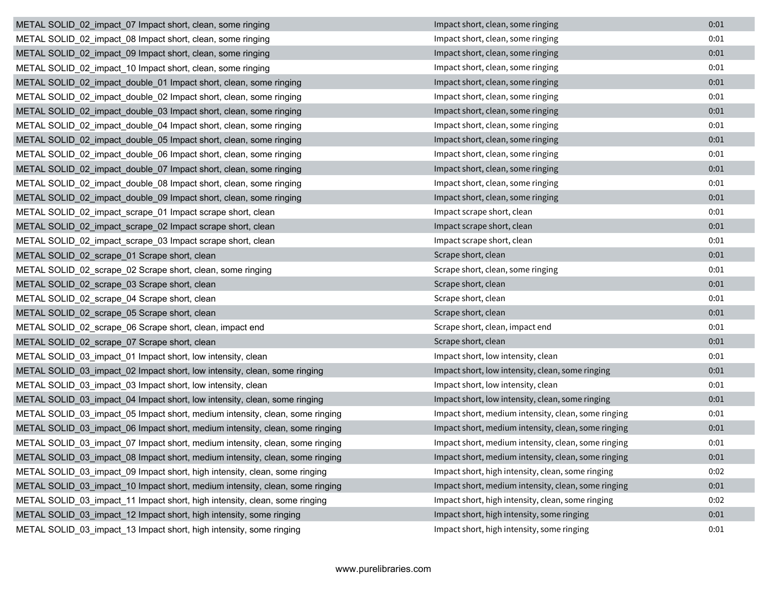| METAL SOLID 02 impact 07 Impact short, clean, some ringing                   | Impact short, clean, some ringing                   | 0:01 |
|------------------------------------------------------------------------------|-----------------------------------------------------|------|
| METAL SOLID 02 impact 08 Impact short, clean, some ringing                   | Impact short, clean, some ringing                   | 0:01 |
| METAL SOLID_02_impact_09 Impact short, clean, some ringing                   | Impact short, clean, some ringing                   | 0:01 |
| METAL SOLID 02 impact 10 Impact short, clean, some ringing                   | Impact short, clean, some ringing                   | 0:01 |
| METAL SOLID_02_impact_double_01 Impact short, clean, some ringing            | Impact short, clean, some ringing                   | 0:01 |
| METAL SOLID_02_impact_double_02 Impact short, clean, some ringing            | Impact short, clean, some ringing                   | 0:01 |
| METAL SOLID_02_impact_double_03 Impact short, clean, some ringing            | Impact short, clean, some ringing                   | 0:01 |
| METAL SOLID_02_impact_double_04 Impact short, clean, some ringing            | Impact short, clean, some ringing                   | 0:01 |
| METAL SOLID_02_impact_double_05 Impact short, clean, some ringing            | Impact short, clean, some ringing                   | 0:01 |
| METAL SOLID_02_impact_double_06 Impact short, clean, some ringing            | Impact short, clean, some ringing                   | 0:01 |
| METAL SOLID_02_impact_double_07 Impact short, clean, some ringing            | Impact short, clean, some ringing                   | 0:01 |
| METAL SOLID_02_impact_double_08 Impact short, clean, some ringing            | Impact short, clean, some ringing                   | 0:01 |
| METAL SOLID_02_impact_double_09 Impact short, clean, some ringing            | Impact short, clean, some ringing                   | 0:01 |
| METAL SOLID_02_impact_scrape_01 Impact scrape short, clean                   | Impact scrape short, clean                          | 0:01 |
| METAL SOLID_02_impact_scrape_02 Impact scrape short, clean                   | Impact scrape short, clean                          | 0:01 |
| METAL SOLID_02_impact_scrape_03 Impact scrape short, clean                   | Impact scrape short, clean                          | 0:01 |
| METAL SOLID_02_scrape_01 Scrape short, clean                                 | Scrape short, clean                                 | 0:01 |
| METAL SOLID_02_scrape_02 Scrape short, clean, some ringing                   | Scrape short, clean, some ringing                   | 0:01 |
| METAL SOLID_02_scrape_03 Scrape short, clean                                 | Scrape short, clean                                 | 0:01 |
| METAL SOLID_02_scrape_04 Scrape short, clean                                 | Scrape short, clean                                 | 0:01 |
| METAL SOLID_02_scrape_05 Scrape short, clean                                 | Scrape short, clean                                 | 0:01 |
| METAL SOLID_02_scrape_06 Scrape short, clean, impact end                     | Scrape short, clean, impact end                     | 0:01 |
| METAL SOLID_02_scrape_07 Scrape short, clean                                 | Scrape short, clean                                 | 0:01 |
| METAL SOLID_03_impact_01 Impact short, low intensity, clean                  | Impact short, low intensity, clean                  | 0:01 |
| METAL SOLID_03_impact_02 Impact short, low intensity, clean, some ringing    | Impact short, low intensity, clean, some ringing    | 0:01 |
| METAL SOLID_03_impact_03 Impact short, low intensity, clean                  | Impact short, low intensity, clean                  | 0:01 |
| METAL SOLID 03 impact 04 Impact short, low intensity, clean, some ringing    | Impact short, low intensity, clean, some ringing    | 0:01 |
| METAL SOLID_03_impact_05 Impact short, medium intensity, clean, some ringing | Impact short, medium intensity, clean, some ringing | 0:01 |
| METAL SOLID_03_impact_06 Impact short, medium intensity, clean, some ringing | Impact short, medium intensity, clean, some ringing | 0:01 |
| METAL SOLID_03_impact_07 Impact short, medium intensity, clean, some ringing | Impact short, medium intensity, clean, some ringing | 0:01 |
| METAL SOLID 03 impact 08 Impact short, medium intensity, clean, some ringing | Impact short, medium intensity, clean, some ringing | 0:01 |
| METAL SOLID 03 impact_09 Impact short, high intensity, clean, some ringing   | Impact short, high intensity, clean, some ringing   | 0:02 |
| METAL SOLID 03 impact 10 Impact short, medium intensity, clean, some ringing | Impact short, medium intensity, clean, some ringing | 0:01 |
| METAL SOLID 03 impact 11 Impact short, high intensity, clean, some ringing   | Impact short, high intensity, clean, some ringing   | 0:02 |
| METAL SOLID 03 impact 12 Impact short, high intensity, some ringing          | Impact short, high intensity, some ringing          | 0:01 |
| METAL SOLID_03_impact_13 Impact short, high intensity, some ringing          | Impact short, high intensity, some ringing          | 0:01 |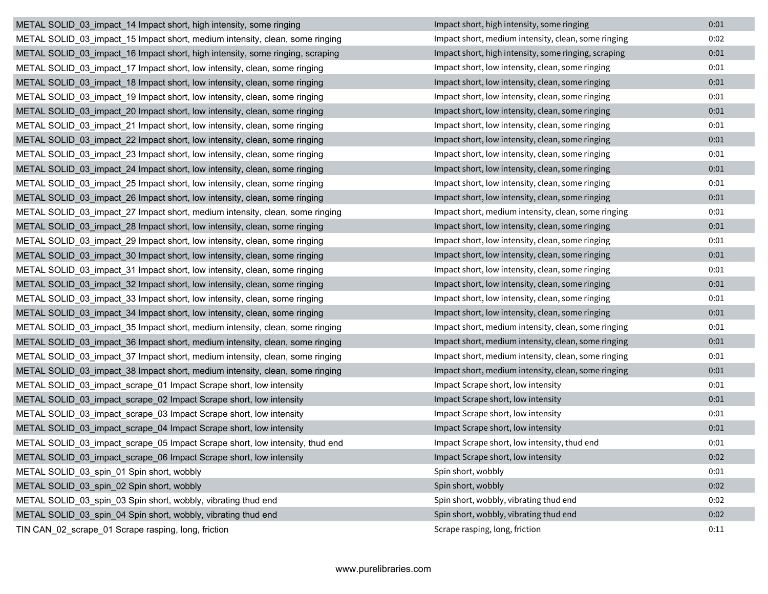| METAL SOLID_03_impact_14 Impact short, high intensity, some ringing           | Impact short, high intensity, some ringing           | 0:01 |
|-------------------------------------------------------------------------------|------------------------------------------------------|------|
| METAL SOLID_03_impact_15 Impact short, medium intensity, clean, some ringing  | Impact short, medium intensity, clean, some ringing  | 0:02 |
| METAL SOLID_03_impact_16 Impact short, high intensity, some ringing, scraping | Impact short, high intensity, some ringing, scraping | 0:01 |
| METAL SOLID 03 impact 17 Impact short, low intensity, clean, some ringing     | Impact short, low intensity, clean, some ringing     | 0:01 |
| METAL SOLID_03_impact_18 Impact short, low intensity, clean, some ringing     | Impact short, low intensity, clean, some ringing     | 0:01 |
| METAL SOLID_03_impact_19 Impact short, low intensity, clean, some ringing     | Impact short, low intensity, clean, some ringing     | 0:01 |
| METAL SOLID_03_impact_20 Impact short, low intensity, clean, some ringing     | Impact short, low intensity, clean, some ringing     | 0:01 |
| METAL SOLID_03_impact_21 Impact short, low intensity, clean, some ringing     | Impact short, low intensity, clean, some ringing     | 0:01 |
| METAL SOLID 03 impact 22 Impact short, low intensity, clean, some ringing     | Impact short, low intensity, clean, some ringing     | 0:01 |
| METAL SOLID 03 impact 23 Impact short, low intensity, clean, some ringing     | Impact short, low intensity, clean, some ringing     | 0:01 |
| METAL SOLID_03_impact_24 Impact short, low intensity, clean, some ringing     | Impact short, low intensity, clean, some ringing     | 0:01 |
| METAL SOLID_03_impact_25 Impact short, low intensity, clean, some ringing     | Impact short, low intensity, clean, some ringing     | 0:01 |
| METAL SOLID_03_impact_26 Impact short, low intensity, clean, some ringing     | Impact short, low intensity, clean, some ringing     | 0:01 |
| METAL SOLID_03_impact_27 Impact short, medium intensity, clean, some ringing  | Impact short, medium intensity, clean, some ringing  | 0:01 |
| METAL SOLID_03_impact_28 Impact short, low intensity, clean, some ringing     | Impact short, low intensity, clean, some ringing     | 0:01 |
| METAL SOLID_03_impact_29 Impact short, low intensity, clean, some ringing     | Impact short, low intensity, clean, some ringing     | 0:01 |
| METAL SOLID 03 impact 30 Impact short, low intensity, clean, some ringing     | Impact short, low intensity, clean, some ringing     | 0:01 |
| METAL SOLID_03_impact_31 Impact short, low intensity, clean, some ringing     | Impact short, low intensity, clean, some ringing     | 0:01 |
| METAL SOLID_03_impact_32 Impact short, low intensity, clean, some ringing     | Impact short, low intensity, clean, some ringing     | 0:01 |
| METAL SOLID_03_impact_33 Impact short, low intensity, clean, some ringing     | Impact short, low intensity, clean, some ringing     | 0:01 |
| METAL SOLID_03_impact_34 Impact short, low intensity, clean, some ringing     | Impact short, low intensity, clean, some ringing     | 0:01 |
| METAL SOLID_03_impact_35 Impact short, medium intensity, clean, some ringing  | Impact short, medium intensity, clean, some ringing  | 0:01 |
| METAL SOLID_03_impact_36 Impact short, medium intensity, clean, some ringing  | Impact short, medium intensity, clean, some ringing  | 0:01 |
| METAL SOLID_03_impact_37 Impact short, medium intensity, clean, some ringing  | Impact short, medium intensity, clean, some ringing  | 0:01 |
| METAL SOLID_03_impact_38 Impact short, medium intensity, clean, some ringing  | Impact short, medium intensity, clean, some ringing  | 0:01 |
| METAL SOLID_03_impact_scrape_01 Impact Scrape short, low intensity            | Impact Scrape short, low intensity                   | 0:01 |
| METAL SOLID 03 impact scrape 02 Impact Scrape short, low intensity            | Impact Scrape short, low intensity                   | 0:01 |
| METAL SOLID_03_impact_scrape_03 Impact Scrape short, low intensity            | Impact Scrape short, low intensity                   | 0:01 |
| METAL SOLID_03_impact_scrape_04 Impact Scrape short, low intensity            | Impact Scrape short, low intensity                   | 0:01 |
| METAL SOLID 03 impact scrape 05 Impact Scrape short, low intensity, thud end  | Impact Scrape short, low intensity, thud end         | 0:01 |
| METAL SOLID 03 impact scrape 06 Impact Scrape short, low intensity            | Impact Scrape short, low intensity                   | 0:02 |
| METAL SOLID 03 spin 01 Spin short, wobbly                                     | Spin short, wobbly                                   | 0:01 |
| METAL SOLID_03_spin_02 Spin short, wobbly                                     | Spin short, wobbly                                   | 0:02 |
| METAL SOLID_03_spin_03 Spin short, wobbly, vibrating thud end                 | Spin short, wobbly, vibrating thud end               | 0:02 |
| METAL SOLID 03 spin 04 Spin short, wobbly, vibrating thud end                 | Spin short, wobbly, vibrating thud end               | 0:02 |
| TIN CAN_02_scrape_01 Scrape rasping, long, friction                           | Scrape rasping, long, friction                       | 0:11 |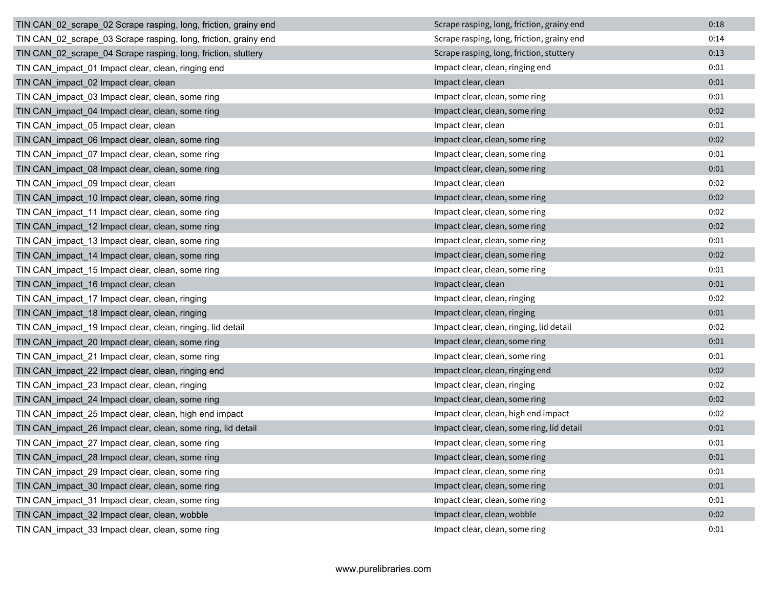| TIN CAN_02_scrape_02 Scrape rasping, long, friction, grainy end | Scrape rasping, long, friction, grainy end | 0:18 |
|-----------------------------------------------------------------|--------------------------------------------|------|
| TIN CAN_02_scrape_03 Scrape rasping, long, friction, grainy end | Scrape rasping, long, friction, grainy end | 0:14 |
| TIN CAN_02_scrape_04 Scrape rasping, long, friction, stuttery   | Scrape rasping, long, friction, stuttery   | 0:13 |
| TIN CAN_impact_01 Impact clear, clean, ringing end              | Impact clear, clean, ringing end           | 0:01 |
| TIN CAN_impact_02 Impact clear, clean                           | Impact clear, clean                        | 0:01 |
| TIN CAN_impact_03 Impact clear, clean, some ring                | Impact clear, clean, some ring             | 0:01 |
| TIN CAN_impact_04 Impact clear, clean, some ring                | Impact clear, clean, some ring             | 0:02 |
| TIN CAN impact 05 Impact clear, clean                           | Impact clear, clean                        | 0:01 |
| TIN CAN impact 06 Impact clear, clean, some ring                | Impact clear, clean, some ring             | 0:02 |
| TIN CAN impact 07 Impact clear, clean, some ring                | Impact clear, clean, some ring             | 0:01 |
| TIN CAN_impact_08 Impact clear, clean, some ring                | Impact clear, clean, some ring             | 0:01 |
| TIN CAN_impact_09 Impact clear, clean                           | Impact clear, clean                        | 0:02 |
| TIN CAN_impact_10 Impact clear, clean, some ring                | Impact clear, clean, some ring             | 0:02 |
| TIN CAN impact 11 Impact clear, clean, some ring                | Impact clear, clean, some ring             | 0:02 |
| TIN CAN_impact_12 Impact clear, clean, some ring                | Impact clear, clean, some ring             | 0:02 |
| TIN CAN_impact_13 Impact clear, clean, some ring                | Impact clear, clean, some ring             | 0:01 |
| TIN CAN_impact_14 Impact clear, clean, some ring                | Impact clear, clean, some ring             | 0:02 |
| TIN CAN_impact_15 Impact clear, clean, some ring                | Impact clear, clean, some ring             | 0:01 |
| TIN CAN_impact_16 Impact clear, clean                           | Impact clear, clean                        | 0:01 |
| TIN CAN_impact_17 Impact clear, clean, ringing                  | Impact clear, clean, ringing               | 0:02 |
| TIN CAN_impact_18 Impact clear, clean, ringing                  | Impact clear, clean, ringing               | 0:01 |
| TIN CAN_impact_19 Impact clear, clean, ringing, lid detail      | Impact clear, clean, ringing, lid detail   | 0:02 |
| TIN CAN_impact_20 Impact clear, clean, some ring                | Impact clear, clean, some ring             | 0:01 |
| TIN CAN_impact_21 Impact clear, clean, some ring                | Impact clear, clean, some ring             | 0:01 |
| TIN CAN_impact_22 Impact clear, clean, ringing end              | Impact clear, clean, ringing end           | 0:02 |
| TIN CAN_impact_23 Impact clear, clean, ringing                  | Impact clear, clean, ringing               | 0:02 |
| TIN CAN impact_24 Impact clear, clean, some ring                | Impact clear, clean, some ring             | 0:02 |
| TIN CAN impact 25 Impact clear, clean, high end impact          | Impact clear, clean, high end impact       | 0:02 |
| TIN CAN impact_26 Impact clear, clean, some ring, lid detail    | Impact clear, clean, some ring, lid detail | 0:01 |
| TIN CAN_impact_27 Impact clear, clean, some ring                | Impact clear, clean, some ring             | 0:01 |
| TIN CAN_impact_28 Impact clear, clean, some ring                | Impact clear, clean, some ring             | 0:01 |
| TIN CAN impact 29 Impact clear, clean, some ring                | Impact clear, clean, some ring             | 0:01 |
| TIN CAN_impact_30 Impact clear, clean, some ring                | Impact clear, clean, some ring             | 0:01 |
| TIN CAN_impact_31 Impact clear, clean, some ring                | Impact clear, clean, some ring             | 0:01 |
| TIN CAN impact 32 Impact clear, clean, wobble                   | Impact clear, clean, wobble                | 0:02 |
| TIN CAN_impact_33 Impact clear, clean, some ring                | Impact clear, clean, some ring             | 0:01 |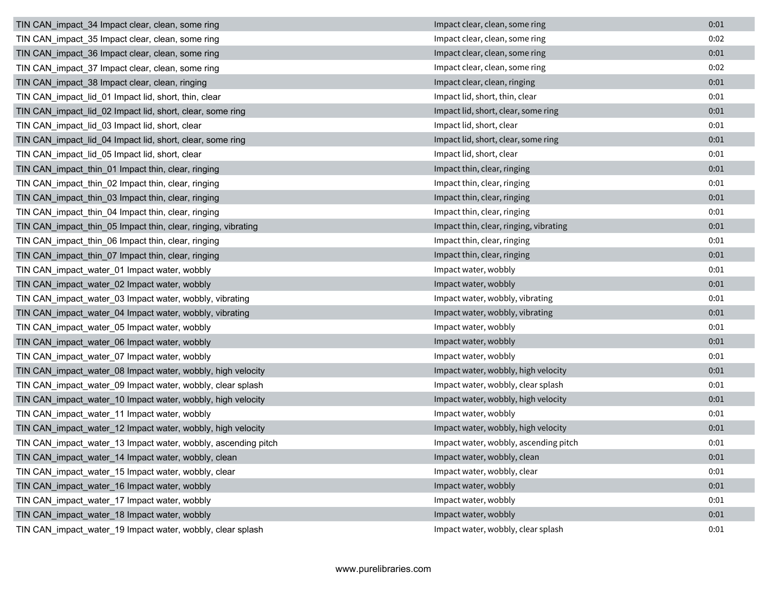| TIN CAN impact 34 Impact clear, clean, some ring              | Impact clear, clean, some ring         | 0:01 |
|---------------------------------------------------------------|----------------------------------------|------|
| TIN CAN_impact_35 Impact clear, clean, some ring              | Impact clear, clean, some ring         | 0:02 |
| TIN CAN_impact_36 Impact clear, clean, some ring              | Impact clear, clean, some ring         | 0:01 |
| TIN CAN impact 37 Impact clear, clean, some ring              | Impact clear, clean, some ring         | 0:02 |
| TIN CAN_impact_38 Impact clear, clean, ringing                | Impact clear, clean, ringing           | 0:01 |
| TIN CAN_impact_lid_01 Impact lid, short, thin, clear          | Impact lid, short, thin, clear         | 0:01 |
| TIN CAN_impact_lid_02 Impact lid, short, clear, some ring     | Impact lid, short, clear, some ring    | 0:01 |
| TIN CAN_impact_lid_03 Impact lid, short, clear                | Impact lid, short, clear               | 0:01 |
| TIN CAN impact lid 04 Impact lid, short, clear, some ring     | Impact lid, short, clear, some ring    | 0:01 |
| TIN CAN_impact_lid_05 Impact lid, short, clear                | Impact lid, short, clear               | 0:01 |
| TIN CAN_impact_thin_01 Impact thin, clear, ringing            | Impact thin, clear, ringing            | 0:01 |
| TIN CAN_impact_thin_02 Impact thin, clear, ringing            | Impact thin, clear, ringing            | 0:01 |
| TIN CAN_impact_thin_03 Impact thin, clear, ringing            | Impact thin, clear, ringing            | 0:01 |
| TIN CAN_impact_thin_04 Impact thin, clear, ringing            | Impact thin, clear, ringing            | 0:01 |
| TIN CAN impact thin 05 Impact thin, clear, ringing, vibrating | Impact thin, clear, ringing, vibrating | 0:01 |
| TIN CAN impact thin 06 Impact thin, clear, ringing            | Impact thin, clear, ringing            | 0:01 |
| TIN CAN_impact_thin_07 Impact thin, clear, ringing            | Impact thin, clear, ringing            | 0:01 |
| TIN CAN impact water 01 Impact water, wobbly                  | Impact water, wobbly                   | 0:01 |
| TIN CAN impact water 02 Impact water, wobbly                  | Impact water, wobbly                   | 0:01 |
| TIN CAN_impact_water_03 Impact water, wobbly, vibrating       | Impact water, wobbly, vibrating        | 0:01 |
| TIN CAN_impact_water_04 Impact water, wobbly, vibrating       | Impact water, wobbly, vibrating        | 0:01 |
| TIN CAN_impact_water_05 Impact water, wobbly                  | Impact water, wobbly                   | 0:01 |
| TIN CAN_impact_water_06 Impact water, wobbly                  | Impact water, wobbly                   | 0:01 |
| TIN CAN_impact_water_07 Impact water, wobbly                  | Impact water, wobbly                   | 0:01 |
| TIN CAN_impact_water_08 Impact water, wobbly, high velocity   | Impact water, wobbly, high velocity    | 0:01 |
| TIN CAN_impact_water_09 Impact water, wobbly, clear splash    | Impact water, wobbly, clear splash     | 0:01 |
| TIN CAN_impact_water_10 Impact water, wobbly, high velocity   | Impact water, wobbly, high velocity    | 0:01 |
| TIN CAN_impact_water_11 Impact water, wobbly                  | Impact water, wobbly                   | 0:01 |
| TIN CAN_impact_water_12 Impact water, wobbly, high velocity   | Impact water, wobbly, high velocity    | 0:01 |
| TIN CAN_impact_water_13 Impact water, wobbly, ascending pitch | Impact water, wobbly, ascending pitch  | 0:01 |
| TIN CAN impact water 14 Impact water, wobbly, clean           | Impact water, wobbly, clean            | 0:01 |
| TIN CAN impact water 15 Impact water, wobbly, clear           | Impact water, wobbly, clear            | 0:01 |
| TIN CAN impact water 16 Impact water, wobbly                  | Impact water, wobbly                   | 0:01 |
| TIN CAN_impact_water_17 Impact water, wobbly                  | Impact water, wobbly                   | 0:01 |
| TIN CAN_impact_water_18 Impact water, wobbly                  | Impact water, wobbly                   | 0:01 |
| TIN CAN impact water 19 Impact water, wobbly, clear splash    | Impact water, wobbly, clear splash     | 0:01 |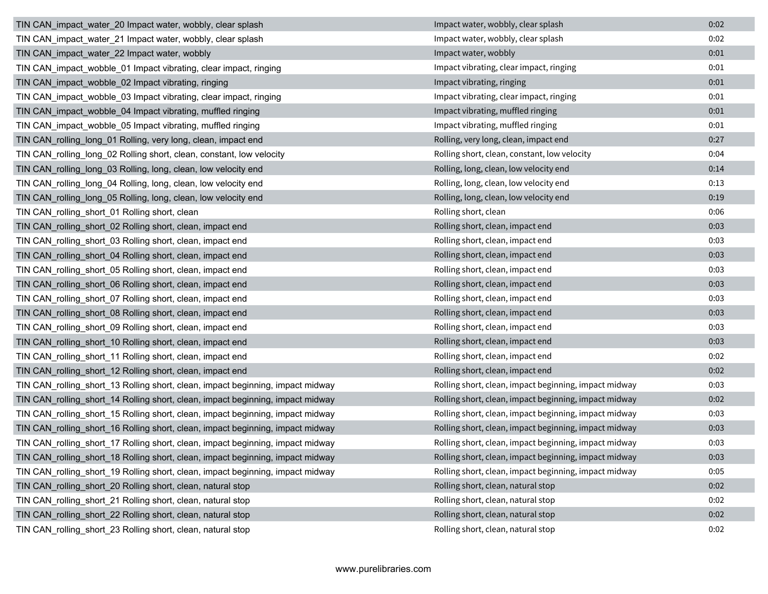| TIN CAN_impact_water_20 Impact water, wobbly, clear splash                     | Impact water, wobbly, clear splash                    | 0:02 |
|--------------------------------------------------------------------------------|-------------------------------------------------------|------|
| TIN CAN_impact_water_21 Impact water, wobbly, clear splash                     | Impact water, wobbly, clear splash                    | 0:02 |
| TIN CAN_impact_water_22 Impact water, wobbly                                   | Impact water, wobbly                                  | 0:01 |
| TIN CAN_impact_wobble_01 Impact vibrating, clear impact, ringing               | Impact vibrating, clear impact, ringing               | 0:01 |
| TIN CAN impact wobble 02 Impact vibrating, ringing                             | Impact vibrating, ringing                             | 0:01 |
| TIN CAN_impact_wobble_03 Impact vibrating, clear impact, ringing               | Impact vibrating, clear impact, ringing               | 0:01 |
| TIN CAN_impact_wobble_04 Impact vibrating, muffled ringing                     | Impact vibrating, muffled ringing                     | 0:01 |
| TIN CAN_impact_wobble_05 Impact vibrating, muffled ringing                     | Impact vibrating, muffled ringing                     | 0:01 |
| TIN CAN_rolling_long_01 Rolling, very long, clean, impact end                  | Rolling, very long, clean, impact end                 | 0:27 |
| TIN CAN_rolling_long_02 Rolling short, clean, constant, low velocity           | Rolling short, clean, constant, low velocity          | 0:04 |
| TIN CAN_rolling_long_03 Rolling, long, clean, low velocity end                 | Rolling, long, clean, low velocity end                | 0:14 |
| TIN CAN_rolling_long_04 Rolling, long, clean, low velocity end                 | Rolling, long, clean, low velocity end                | 0:13 |
| TIN CAN_rolling_long_05 Rolling, long, clean, low velocity end                 | Rolling, long, clean, low velocity end                | 0:19 |
| TIN CAN_rolling_short_01 Rolling short, clean                                  | Rolling short, clean                                  | 0:06 |
| TIN CAN_rolling_short_02 Rolling short, clean, impact end                      | Rolling short, clean, impact end                      | 0:03 |
| TIN CAN_rolling_short_03 Rolling short, clean, impact end                      | Rolling short, clean, impact end                      | 0:03 |
| TIN CAN_rolling_short_04 Rolling short, clean, impact end                      | Rolling short, clean, impact end                      | 0:03 |
| TIN CAN_rolling_short_05 Rolling short, clean, impact end                      | Rolling short, clean, impact end                      | 0:03 |
| TIN CAN_rolling_short_06 Rolling short, clean, impact end                      | Rolling short, clean, impact end                      | 0:03 |
| TIN CAN rolling short 07 Rolling short, clean, impact end                      | Rolling short, clean, impact end                      | 0:03 |
| TIN CAN_rolling_short_08 Rolling short, clean, impact end                      | Rolling short, clean, impact end                      | 0:03 |
| TIN CAN_rolling_short_09 Rolling short, clean, impact end                      | Rolling short, clean, impact end                      | 0:03 |
| TIN CAN_rolling_short_10 Rolling short, clean, impact end                      | Rolling short, clean, impact end                      | 0:03 |
| TIN CAN_rolling_short_11 Rolling short, clean, impact end                      | Rolling short, clean, impact end                      | 0:02 |
| TIN CAN_rolling_short_12 Rolling short, clean, impact end                      | Rolling short, clean, impact end                      | 0:02 |
| TIN CAN_rolling_short_13 Rolling short, clean, impact beginning, impact midway | Rolling short, clean, impact beginning, impact midway | 0:03 |
| TIN CAN_rolling_short_14 Rolling short, clean, impact beginning, impact midway | Rolling short, clean, impact beginning, impact midway | 0:02 |
| TIN CAN_rolling_short_15 Rolling short, clean, impact beginning, impact midway | Rolling short, clean, impact beginning, impact midway | 0:03 |
| TIN CAN_rolling_short_16 Rolling short, clean, impact beginning, impact midway | Rolling short, clean, impact beginning, impact midway | 0:03 |
| TIN CAN_rolling_short_17 Rolling short, clean, impact beginning, impact midway | Rolling short, clean, impact beginning, impact midway | 0:03 |
| TIN CAN_rolling_short_18 Rolling short, clean, impact beginning, impact midway | Rolling short, clean, impact beginning, impact midway | 0:03 |
| TIN CAN_rolling_short_19 Rolling short, clean, impact beginning, impact midway | Rolling short, clean, impact beginning, impact midway | 0:05 |
| TIN CAN_rolling_short_20 Rolling short, clean, natural stop                    | Rolling short, clean, natural stop                    | 0:02 |
| TIN CAN_rolling_short_21 Rolling short, clean, natural stop                    | Rolling short, clean, natural stop                    | 0:02 |
| TIN CAN_rolling_short_22 Rolling short, clean, natural stop                    | Rolling short, clean, natural stop                    | 0:02 |
| TIN CAN_rolling_short_23 Rolling short, clean, natural stop                    | Rolling short, clean, natural stop                    | 0:02 |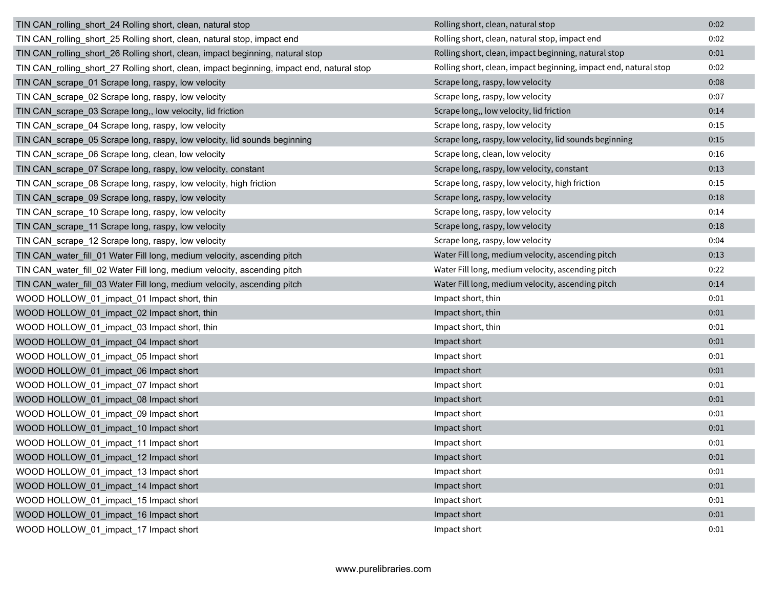| TIN CAN_rolling_short_24 Rolling short, clean, natural stop                               | Rolling short, clean, natural stop                               | 0:02 |
|-------------------------------------------------------------------------------------------|------------------------------------------------------------------|------|
| TIN CAN_rolling_short_25 Rolling short, clean, natural stop, impact end                   | Rolling short, clean, natural stop, impact end                   | 0:02 |
| TIN CAN_rolling_short_26 Rolling short, clean, impact beginning, natural stop             | Rolling short, clean, impact beginning, natural stop             | 0:01 |
| TIN CAN_rolling_short_27 Rolling short, clean, impact beginning, impact end, natural stop | Rolling short, clean, impact beginning, impact end, natural stop | 0:02 |
| TIN CAN_scrape_01 Scrape long, raspy, low velocity                                        | Scrape long, raspy, low velocity                                 | 0:08 |
| TIN CAN_scrape_02 Scrape long, raspy, low velocity                                        | Scrape long, raspy, low velocity                                 | 0:07 |
| TIN CAN_scrape_03 Scrape long,, low velocity, lid friction                                | Scrape long,, low velocity, lid friction                         | 0:14 |
| TIN CAN_scrape_04 Scrape long, raspy, low velocity                                        | Scrape long, raspy, low velocity                                 | 0:15 |
| TIN CAN_scrape_05 Scrape long, raspy, low velocity, lid sounds beginning                  | Scrape long, raspy, low velocity, lid sounds beginning           | 0:15 |
| TIN CAN_scrape_06 Scrape long, clean, low velocity                                        | Scrape long, clean, low velocity                                 | 0:16 |
| TIN CAN_scrape_07 Scrape long, raspy, low velocity, constant                              | Scrape long, raspy, low velocity, constant                       | 0:13 |
| TIN CAN_scrape_08 Scrape long, raspy, low velocity, high friction                         | Scrape long, raspy, low velocity, high friction                  | 0:15 |
| TIN CAN_scrape_09 Scrape long, raspy, low velocity                                        | Scrape long, raspy, low velocity                                 | 0:18 |
| TIN CAN_scrape_10 Scrape long, raspy, low velocity                                        | Scrape long, raspy, low velocity                                 | 0:14 |
| TIN CAN_scrape_11 Scrape long, raspy, low velocity                                        | Scrape long, raspy, low velocity                                 | 0:18 |
| TIN CAN scrape 12 Scrape long, raspy, low velocity                                        | Scrape long, raspy, low velocity                                 | 0:04 |
| TIN CAN water fill 01 Water Fill long, medium velocity, ascending pitch                   | Water Fill long, medium velocity, ascending pitch                | 0:13 |
| TIN CAN water fill 02 Water Fill long, medium velocity, ascending pitch                   | Water Fill long, medium velocity, ascending pitch                | 0:22 |
| TIN CAN_water_fill_03 Water Fill long, medium velocity, ascending pitch                   | Water Fill long, medium velocity, ascending pitch                | 0:14 |
| WOOD HOLLOW 01 impact 01 Impact short, thin                                               | Impact short, thin                                               | 0:01 |
| WOOD HOLLOW_01_impact_02 Impact short, thin                                               | Impact short, thin                                               | 0:01 |
| WOOD HOLLOW_01_impact_03 Impact short, thin                                               | Impact short, thin                                               | 0:01 |
| WOOD HOLLOW_01_impact_04 Impact short                                                     | Impact short                                                     | 0:01 |
| WOOD HOLLOW_01_impact_05 Impact short                                                     | Impact short                                                     | 0:01 |
| WOOD HOLLOW_01_impact_06 Impact short                                                     | Impact short                                                     | 0:01 |
| WOOD HOLLOW_01_impact_07 Impact short                                                     | Impact short                                                     | 0:01 |
| WOOD HOLLOW_01_impact_08 Impact short                                                     | Impact short                                                     | 0:01 |
| WOOD HOLLOW_01_impact_09 Impact short                                                     | Impact short                                                     | 0:01 |
| WOOD HOLLOW_01_impact_10 Impact short                                                     | Impact short                                                     | 0:01 |
| WOOD HOLLOW_01_impact_11 Impact short                                                     | Impact short                                                     | 0:01 |
| WOOD HOLLOW 01 impact 12 Impact short                                                     | Impact short                                                     | 0:01 |
| WOOD HOLLOW_01_impact_13 Impact short                                                     | Impact short                                                     | 0:01 |
| WOOD HOLLOW_01_impact_14 Impact short                                                     | Impact short                                                     | 0:01 |
| WOOD HOLLOW_01_impact_15 Impact short                                                     | Impact short                                                     | 0:01 |
| WOOD HOLLOW_01_impact_16 Impact short                                                     | Impact short                                                     | 0:01 |
| WOOD HOLLOW_01_impact_17 Impact short                                                     | Impact short                                                     | 0:01 |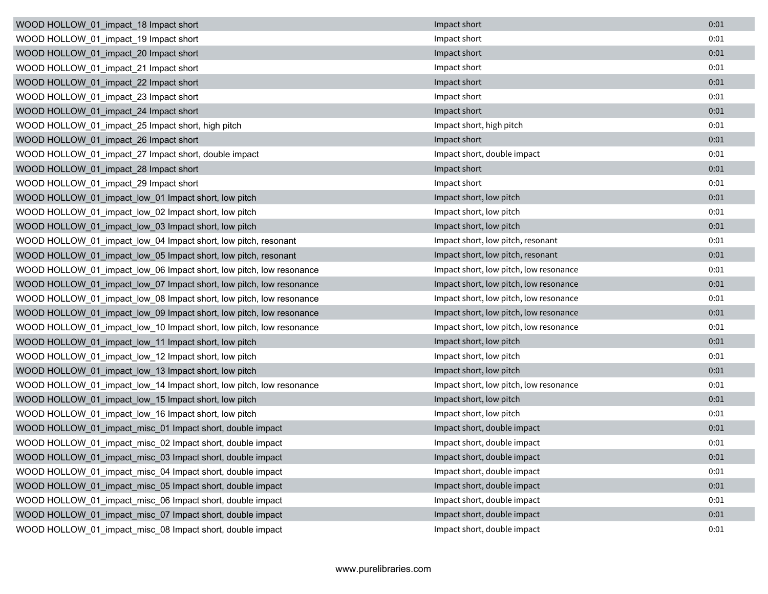| WOOD HOLLOW 01 impact 18 Impact short                               | Impact short                           | 0:01 |
|---------------------------------------------------------------------|----------------------------------------|------|
| WOOD HOLLOW_01_impact_19 Impact short                               | Impact short                           | 0:01 |
| WOOD HOLLOW 01 impact 20 Impact short                               | Impact short                           | 0:01 |
| WOOD HOLLOW_01_impact_21 Impact short                               | Impact short                           | 0:01 |
| WOOD HOLLOW_01_impact_22 Impact short                               | Impact short                           | 0:01 |
| WOOD HOLLOW_01_impact_23 Impact short                               | Impact short                           | 0:01 |
| WOOD HOLLOW_01_impact_24 Impact short                               | Impact short                           | 0:01 |
| WOOD HOLLOW_01_impact_25 Impact short, high pitch                   | Impact short, high pitch               | 0:01 |
| WOOD HOLLOW_01_impact_26 Impact short                               | Impact short                           | 0:01 |
| WOOD HOLLOW 01 impact 27 Impact short, double impact                | Impact short, double impact            | 0:01 |
| WOOD HOLLOW_01_impact_28 Impact short                               | Impact short                           | 0:01 |
| WOOD HOLLOW_01_impact_29 Impact short                               | Impact short                           | 0:01 |
| WOOD HOLLOW 01 impact low 01 Impact short, low pitch                | Impact short, low pitch                | 0:01 |
| WOOD HOLLOW 01 impact low 02 Impact short, low pitch                | Impact short, low pitch                | 0:01 |
| WOOD HOLLOW_01_impact_low_03 Impact short, low pitch                | Impact short, low pitch                | 0:01 |
| WOOD HOLLOW_01_impact_low_04 Impact short, low pitch, resonant      | Impact short, low pitch, resonant      | 0:01 |
| WOOD HOLLOW 01 impact low 05 Impact short, low pitch, resonant      | Impact short, low pitch, resonant      | 0:01 |
| WOOD HOLLOW 01 impact low 06 Impact short, low pitch, low resonance | Impact short, low pitch, low resonance | 0:01 |
| WOOD HOLLOW_01_impact_low_07 Impact short, low pitch, low resonance | Impact short, low pitch, low resonance | 0:01 |
| WOOD HOLLOW_01_impact_low_08 Impact short, low pitch, low resonance | Impact short, low pitch, low resonance | 0:01 |
| WOOD HOLLOW_01_impact_low_09 Impact short, low pitch, low resonance | Impact short, low pitch, low resonance | 0:01 |
| WOOD HOLLOW_01_impact_low_10 Impact short, low pitch, low resonance | Impact short, low pitch, low resonance | 0:01 |
| WOOD HOLLOW_01_impact_low_11 Impact short, low pitch                | Impact short, low pitch                | 0:01 |
| WOOD HOLLOW_01_impact_low_12 Impact short, low pitch                | Impact short, low pitch                | 0:01 |
| WOOD HOLLOW_01_impact_low_13 Impact short, low pitch                | Impact short, low pitch                | 0:01 |
| WOOD HOLLOW_01_impact_low_14 Impact short, low pitch, low resonance | Impact short, low pitch, low resonance | 0:01 |
| WOOD HOLLOW 01 impact low 15 Impact short, low pitch                | Impact short, low pitch                | 0:01 |
| WOOD HOLLOW_01_impact_low_16 Impact short, low pitch                | Impact short, low pitch                | 0:01 |
| WOOD HOLLOW_01_impact_misc_01 Impact short, double impact           | Impact short, double impact            | 0:01 |
| WOOD HOLLOW_01_impact_misc_02 Impact short, double impact           | Impact short, double impact            | 0:01 |
| WOOD HOLLOW_01_impact_misc_03 Impact short, double impact           | Impact short, double impact            | 0:01 |
| WOOD HOLLOW_01_impact_misc_04 Impact short, double impact           | Impact short, double impact            | 0:01 |
| WOOD HOLLOW_01_impact_misc_05 Impact short, double impact           | Impact short, double impact            | 0:01 |
| WOOD HOLLOW 01 impact misc 06 Impact short, double impact           | Impact short, double impact            | 0:01 |
| WOOD HOLLOW 01 impact misc 07 Impact short, double impact           | Impact short, double impact            | 0:01 |
| WOOD HOLLOW_01_impact_misc_08 Impact short, double impact           | Impact short, double impact            | 0:01 |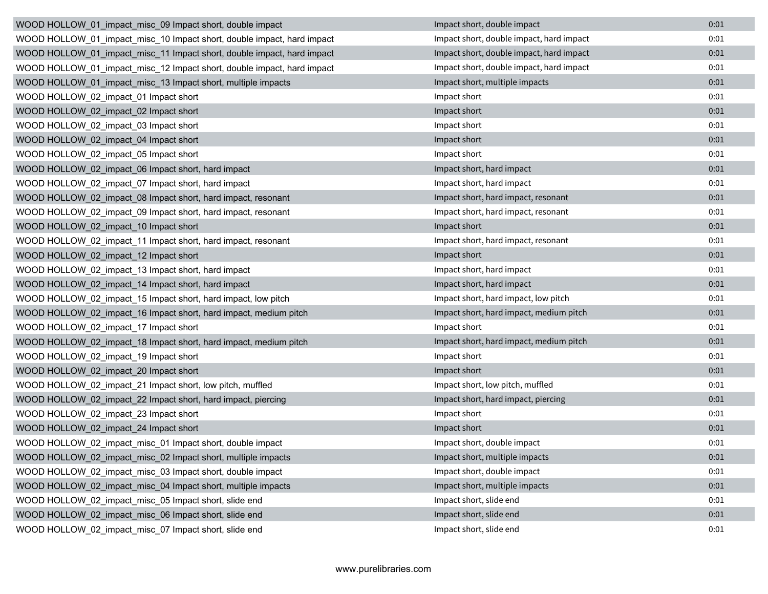| WOOD HOLLOW_01_impact_misc_09 Impact short, double impact              | Impact short, double impact              | 0:01 |
|------------------------------------------------------------------------|------------------------------------------|------|
| WOOD HOLLOW 01 impact misc 10 Impact short, double impact, hard impact | Impact short, double impact, hard impact | 0:01 |
| WOOD HOLLOW 01 impact misc 11 Impact short, double impact, hard impact | Impact short, double impact, hard impact | 0:01 |
| WOOD HOLLOW_01_impact_misc_12 Impact short, double impact, hard impact | Impact short, double impact, hard impact | 0:01 |
| WOOD HOLLOW_01_impact_misc_13 Impact short, multiple impacts           | Impact short, multiple impacts           | 0:01 |
| WOOD HOLLOW_02_impact_01 Impact short                                  | Impact short                             | 0:01 |
| WOOD HOLLOW_02_impact_02 Impact short                                  | Impact short                             | 0:01 |
| WOOD HOLLOW_02_impact_03 Impact short                                  | Impact short                             | 0:01 |
| WOOD HOLLOW_02_impact_04 Impact short                                  | Impact short                             | 0:01 |
| WOOD HOLLOW_02_impact_05 Impact short                                  | Impact short                             | 0:01 |
| WOOD HOLLOW_02_impact_06 Impact short, hard impact                     | Impact short, hard impact                | 0:01 |
| WOOD HOLLOW_02_impact_07 Impact short, hard impact                     | Impact short, hard impact                | 0:01 |
| WOOD HOLLOW_02_impact_08 Impact short, hard impact, resonant           | Impact short, hard impact, resonant      | 0:01 |
| WOOD HOLLOW_02_impact_09 Impact short, hard impact, resonant           | Impact short, hard impact, resonant      | 0:01 |
| WOOD HOLLOW 02 impact 10 Impact short                                  | Impact short                             | 0:01 |
| WOOD HOLLOW_02_impact_11 Impact short, hard impact, resonant           | Impact short, hard impact, resonant      | 0:01 |
| WOOD HOLLOW_02_impact_12 Impact short                                  | Impact short                             | 0:01 |
| WOOD HOLLOW_02_impact_13 Impact short, hard impact                     | Impact short, hard impact                | 0:01 |
| WOOD HOLLOW 02 impact 14 Impact short, hard impact                     | Impact short, hard impact                | 0:01 |
| WOOD HOLLOW_02_impact_15 Impact short, hard impact, low pitch          | Impact short, hard impact, low pitch     | 0:01 |
| WOOD HOLLOW_02_impact_16 Impact short, hard impact, medium pitch       | Impact short, hard impact, medium pitch  | 0:01 |
| WOOD HOLLOW_02_impact_17 Impact short                                  | Impact short                             | 0:01 |
| WOOD HOLLOW_02_impact_18 Impact short, hard impact, medium pitch       | Impact short, hard impact, medium pitch  | 0:01 |
| WOOD HOLLOW_02_impact_19 Impact short                                  | Impact short                             | 0:01 |
| WOOD HOLLOW_02_impact_20 Impact short                                  | Impact short                             | 0:01 |
| WOOD HOLLOW_02_impact_21 Impact short, low pitch, muffled              | Impact short, low pitch, muffled         | 0:01 |
| WOOD HOLLOW_02_impact_22 Impact short, hard impact, piercing           | Impact short, hard impact, piercing      | 0:01 |
| WOOD HOLLOW_02_impact_23 Impact short                                  | Impact short                             | 0:01 |
| WOOD HOLLOW_02_impact_24 Impact short                                  | Impact short                             | 0:01 |
| WOOD HOLLOW_02_impact_misc_01 Impact short, double impact              | Impact short, double impact              | 0:01 |
| WOOD HOLLOW_02_impact_misc_02 Impact short, multiple impacts           | Impact short, multiple impacts           | 0:01 |
| WOOD HOLLOW_02_impact_misc_03 Impact short, double impact              | Impact short, double impact              | 0:01 |
| WOOD HOLLOW_02_impact_misc_04 Impact short, multiple impacts           | Impact short, multiple impacts           | 0:01 |
| WOOD HOLLOW_02_impact_misc_05 Impact short, slide end                  | Impact short, slide end                  | 0:01 |
| WOOD HOLLOW 02 impact misc 06 Impact short, slide end                  | Impact short, slide end                  | 0:01 |
| WOOD HOLLOW_02_impact_misc_07 Impact short, slide end                  | Impact short, slide end                  | 0:01 |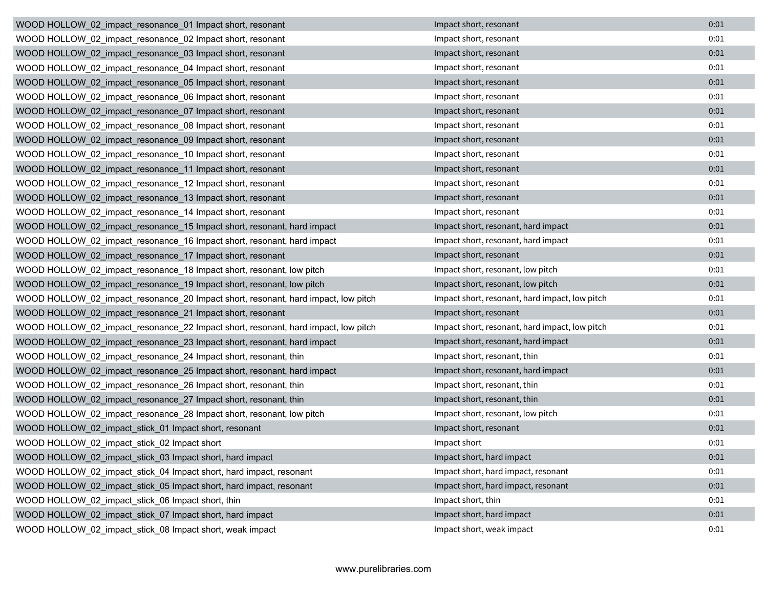| WOOD HOLLOW_02_impact_resonance_01 Impact short, resonant                         | Impact short, resonant                         | 0:01 |
|-----------------------------------------------------------------------------------|------------------------------------------------|------|
| WOOD HOLLOW 02 impact resonance 02 Impact short, resonant                         | Impact short, resonant                         | 0:01 |
| WOOD HOLLOW_02_impact_resonance_03 Impact short, resonant                         | Impact short, resonant                         | 0:01 |
| WOOD HOLLOW_02_impact_resonance_04 Impact short, resonant                         | Impact short, resonant                         | 0:01 |
| WOOD HOLLOW_02_impact_resonance_05 Impact short, resonant                         | Impact short, resonant                         | 0:01 |
| WOOD HOLLOW_02_impact_resonance_06 Impact short, resonant                         | Impact short, resonant                         | 0:01 |
| WOOD HOLLOW_02_impact_resonance_07 Impact short, resonant                         | Impact short, resonant                         | 0:01 |
| WOOD HOLLOW_02_impact_resonance_08 Impact short, resonant                         | Impact short, resonant                         | 0:01 |
| WOOD HOLLOW_02_impact_resonance_09 Impact short, resonant                         | Impact short, resonant                         | 0:01 |
| WOOD HOLLOW 02 impact resonance 10 Impact short, resonant                         | Impact short, resonant                         | 0:01 |
| WOOD HOLLOW_02_impact_resonance_11 Impact short, resonant                         | Impact short, resonant                         | 0:01 |
| WOOD HOLLOW_02_impact_resonance_12 Impact short, resonant                         | Impact short, resonant                         | 0:01 |
| WOOD HOLLOW_02_impact_resonance_13 Impact short, resonant                         | Impact short, resonant                         | 0:01 |
| WOOD HOLLOW_02_impact_resonance_14 Impact short, resonant                         | Impact short, resonant                         | 0:01 |
| WOOD HOLLOW_02_impact_resonance_15 Impact short, resonant, hard impact            | Impact short, resonant, hard impact            | 0:01 |
| WOOD HOLLOW_02_impact_resonance_16 Impact short, resonant, hard impact            | Impact short, resonant, hard impact            | 0:01 |
| WOOD HOLLOW_02_impact_resonance_17 Impact short, resonant                         | Impact short, resonant                         | 0:01 |
| WOOD HOLLOW_02_impact_resonance_18 Impact short, resonant, low pitch              | Impact short, resonant, low pitch              | 0:01 |
| WOOD HOLLOW_02_impact_resonance_19 Impact short, resonant, low pitch              | Impact short, resonant, low pitch              | 0:01 |
| WOOD HOLLOW_02_impact_resonance_20 Impact short, resonant, hard impact, low pitch | Impact short, resonant, hard impact, low pitch | 0:01 |
| WOOD HOLLOW_02_impact_resonance_21 Impact short, resonant                         | Impact short, resonant                         | 0:01 |
| WOOD HOLLOW_02_impact_resonance_22 Impact short, resonant, hard impact, low pitch | Impact short, resonant, hard impact, low pitch | 0:01 |
| WOOD HOLLOW_02_impact_resonance_23 Impact short, resonant, hard impact            | Impact short, resonant, hard impact            | 0:01 |
| WOOD HOLLOW_02_impact_resonance_24 Impact short, resonant, thin                   | Impact short, resonant, thin                   | 0:01 |
| WOOD HOLLOW_02_impact_resonance_25 Impact short, resonant, hard impact            | Impact short, resonant, hard impact            | 0:01 |
| WOOD HOLLOW_02_impact_resonance_26 Impact short, resonant, thin                   | Impact short, resonant, thin                   | 0:01 |
| WOOD HOLLOW_02_impact_resonance_27 Impact short, resonant, thin                   | Impact short, resonant, thin                   | 0:01 |
| WOOD HOLLOW_02_impact_resonance_28 Impact short, resonant, low pitch              | Impact short, resonant, low pitch              | 0:01 |
| WOOD HOLLOW_02_impact_stick_01 Impact short, resonant                             | Impact short, resonant                         | 0:01 |
| WOOD HOLLOW_02_impact_stick_02 Impact short                                       | Impact short                                   | 0:01 |
| WOOD HOLLOW_02_impact_stick_03 Impact short, hard impact                          | Impact short, hard impact                      | 0:01 |
| WOOD HOLLOW_02_impact_stick_04 Impact short, hard impact, resonant                | Impact short, hard impact, resonant            | 0:01 |
| WOOD HOLLOW 02 impact stick 05 Impact short, hard impact, resonant                | Impact short, hard impact, resonant            | 0:01 |
| WOOD HOLLOW 02 impact stick 06 Impact short, thin                                 | Impact short, thin                             | 0:01 |
| WOOD HOLLOW 02 impact stick 07 Impact short, hard impact                          | Impact short, hard impact                      | 0:01 |
| WOOD HOLLOW_02_impact_stick_08 Impact short, weak impact                          | Impact short, weak impact                      | 0:01 |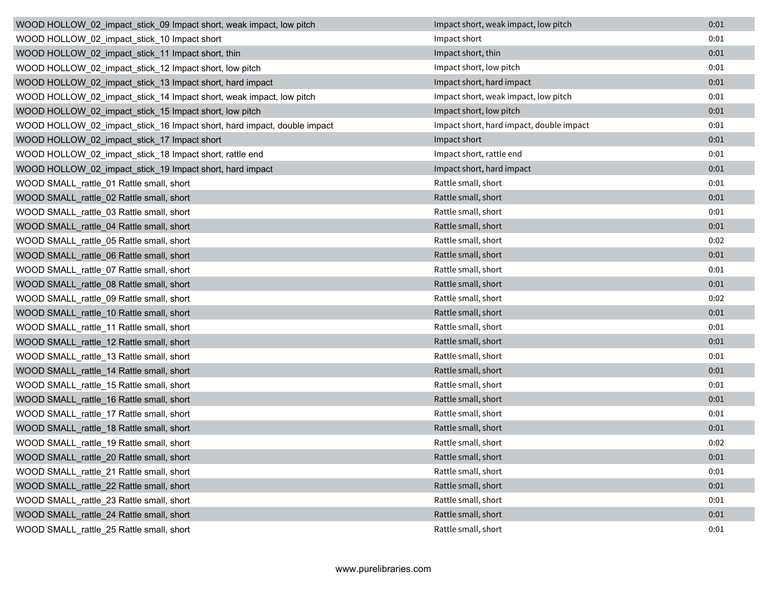| WOOD HOLLOW_02_impact_stick_09 Impact short, weak impact, low pitch     | Impact short, weak impact, low pitch     | 0:01 |
|-------------------------------------------------------------------------|------------------------------------------|------|
| WOOD HOLLOW_02_impact_stick_10 Impact short                             | Impact short                             | 0:01 |
| WOOD HOLLOW_02_impact_stick_11 Impact short, thin                       | Impact short, thin                       | 0:01 |
| WOOD HOLLOW_02_impact_stick_12 Impact short, low pitch                  | Impact short, low pitch                  | 0:01 |
| WOOD HOLLOW_02_impact_stick_13 Impact short, hard impact                | Impact short, hard impact                | 0:01 |
| WOOD HOLLOW_02_impact_stick_14 Impact short, weak impact, low pitch     | Impact short, weak impact, low pitch     | 0:01 |
| WOOD HOLLOW_02_impact_stick_15 Impact short, low pitch                  | Impact short, low pitch                  | 0:01 |
| WOOD HOLLOW_02_impact_stick_16 Impact short, hard impact, double impact | Impact short, hard impact, double impact | 0:01 |
| WOOD HOLLOW_02_impact_stick_17 Impact short                             | Impact short                             | 0:01 |
| WOOD HOLLOW 02 impact stick 18 Impact short, rattle end                 | Impact short, rattle end                 | 0:01 |
| WOOD HOLLOW_02_impact_stick_19 Impact short, hard impact                | Impact short, hard impact                | 0:01 |
| WOOD SMALL_rattle_01 Rattle small, short                                | Rattle small, short                      | 0:01 |
| WOOD SMALL_rattle_02 Rattle small, short                                | Rattle small, short                      | 0:01 |
| WOOD SMALL rattle 03 Rattle small, short                                | Rattle small, short                      | 0:01 |
| WOOD SMALL_rattle_04 Rattle small, short                                | Rattle small, short                      | 0:01 |
| WOOD SMALL_rattle_05 Rattle small, short                                | Rattle small, short                      | 0:02 |
| WOOD SMALL_rattle_06 Rattle small, short                                | Rattle small, short                      | 0:01 |
| WOOD SMALL_rattle_07 Rattle small, short                                | Rattle small, short                      | 0:01 |
| WOOD SMALL_rattle_08 Rattle small, short                                | Rattle small, short                      | 0:01 |
| WOOD SMALL_rattle_09 Rattle small, short                                | Rattle small, short                      | 0:02 |
| WOOD SMALL_rattle_10 Rattle small, short                                | Rattle small, short                      | 0:01 |
| WOOD SMALL_rattle_11 Rattle small, short                                | Rattle small, short                      | 0:01 |
| WOOD SMALL_rattle_12 Rattle small, short                                | Rattle small, short                      | 0:01 |
| WOOD SMALL_rattle_13 Rattle small, short                                | Rattle small, short                      | 0:01 |
| WOOD SMALL_rattle_14 Rattle small, short                                | Rattle small, short                      | 0:01 |
| WOOD SMALL_rattle_15 Rattle small, short                                | Rattle small, short                      | 0:01 |
| WOOD SMALL_rattle_16 Rattle small, short                                | Rattle small, short                      | 0:01 |
| WOOD SMALL_rattle_17 Rattle small, short                                | Rattle small, short                      | 0:01 |
| WOOD SMALL_rattle_18 Rattle small, short                                | Rattle small, short                      | 0:01 |
| WOOD SMALL_rattle_19 Rattle small, short                                | Rattle small, short                      | 0:02 |
| WOOD SMALL_rattle_20 Rattle small, short                                | Rattle small, short                      | 0:01 |
| WOOD SMALL_rattle_21 Rattle small, short                                | Rattle small, short                      | 0:01 |
| WOOD SMALL_rattle_22 Rattle small, short                                | Rattle small, short                      | 0:01 |
| WOOD SMALL rattle 23 Rattle small, short                                | Rattle small, short                      | 0:01 |
| WOOD SMALL rattle 24 Rattle small, short                                | Rattle small, short                      | 0:01 |
| WOOD SMALL_rattle_25 Rattle small, short                                | Rattle small, short                      | 0:01 |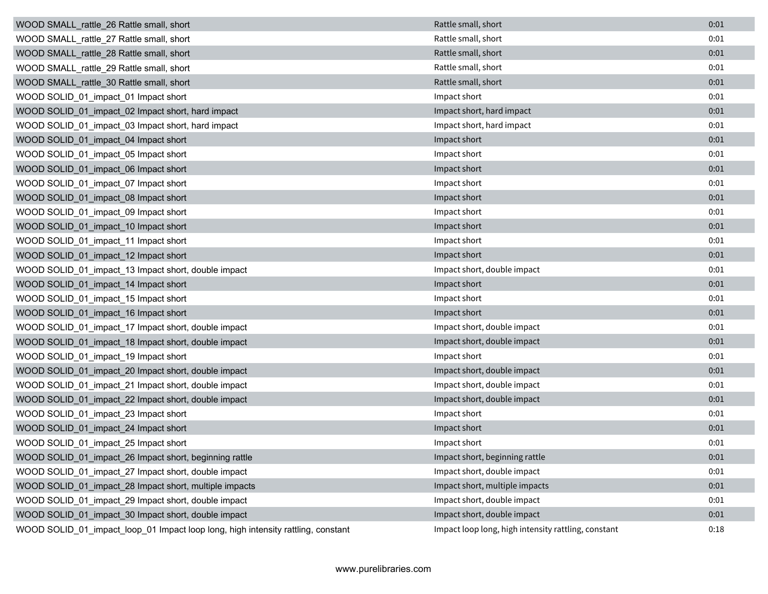| WOOD SMALL rattle 26 Rattle small, short                                         | Rattle small, short                                 | 0:01 |
|----------------------------------------------------------------------------------|-----------------------------------------------------|------|
| WOOD SMALL rattle 27 Rattle small, short                                         | Rattle small, short                                 | 0:01 |
| WOOD SMALL_rattle_28 Rattle small, short                                         | Rattle small, short                                 | 0:01 |
| WOOD SMALL_rattle_29 Rattle small, short                                         | Rattle small, short                                 | 0:01 |
| WOOD SMALL_rattle_30 Rattle small, short                                         | Rattle small, short                                 | 0:01 |
| WOOD SOLID_01_impact_01 Impact short                                             | Impact short                                        | 0:01 |
| WOOD SOLID_01_impact_02 Impact short, hard impact                                | Impact short, hard impact                           | 0:01 |
| WOOD SOLID_01_impact_03 Impact short, hard impact                                | Impact short, hard impact                           | 0:01 |
| WOOD SOLID_01_impact_04 Impact short                                             | Impact short                                        | 0:01 |
| WOOD SOLID 01 impact 05 Impact short                                             | Impact short                                        | 0:01 |
| WOOD SOLID_01_impact_06 Impact short                                             | Impact short                                        | 0:01 |
| WOOD SOLID_01_impact_07 Impact short                                             | Impact short                                        | 0:01 |
| WOOD SOLID 01 impact 08 Impact short                                             | Impact short                                        | 0:01 |
| WOOD SOLID_01_impact_09 Impact short                                             | Impact short                                        | 0:01 |
| WOOD SOLID_01_impact_10 Impact short                                             | Impact short                                        | 0:01 |
| WOOD SOLID_01_impact_11 Impact short                                             | Impact short                                        | 0:01 |
| WOOD SOLID_01_impact_12 Impact short                                             | Impact short                                        | 0:01 |
| WOOD SOLID_01_impact_13 Impact short, double impact                              | Impact short, double impact                         | 0:01 |
| WOOD SOLID 01 impact 14 Impact short                                             | Impact short                                        | 0:01 |
| WOOD SOLID_01_impact_15 Impact short                                             | Impact short                                        | 0:01 |
| WOOD SOLID_01_impact_16 Impact short                                             | Impact short                                        | 0:01 |
| WOOD SOLID_01_impact_17 Impact short, double impact                              | Impact short, double impact                         | 0:01 |
| WOOD SOLID_01_impact_18 Impact short, double impact                              | Impact short, double impact                         | 0:01 |
| WOOD SOLID_01_impact_19 Impact short                                             | Impact short                                        | 0:01 |
| WOOD SOLID_01_impact_20 Impact short, double impact                              | Impact short, double impact                         | 0:01 |
| WOOD SOLID_01_impact_21 Impact short, double impact                              | Impact short, double impact                         | 0:01 |
| WOOD SOLID_01_impact_22 Impact short, double impact                              | Impact short, double impact                         | 0:01 |
| WOOD SOLID_01_impact_23 Impact short                                             | Impact short                                        | 0:01 |
| WOOD SOLID_01_impact_24 Impact short                                             | Impact short                                        | 0:01 |
| WOOD SOLID 01 impact 25 Impact short                                             | Impact short                                        | 0:01 |
| WOOD SOLID_01_impact_26 Impact short, beginning rattle                           | Impact short, beginning rattle                      | 0:01 |
| WOOD SOLID 01 impact 27 Impact short, double impact                              | Impact short, double impact                         | 0:01 |
| WOOD SOLID 01 impact 28 Impact short, multiple impacts                           | Impact short, multiple impacts                      | 0:01 |
| WOOD SOLID 01 impact 29 Impact short, double impact                              | Impact short, double impact                         | 0:01 |
| WOOD SOLID 01 impact 30 Impact short, double impact                              | Impact short, double impact                         | 0:01 |
| WOOD SOLID_01_impact_loop_01 Impact loop long, high intensity rattling, constant | Impact loop long, high intensity rattling, constant | 0:18 |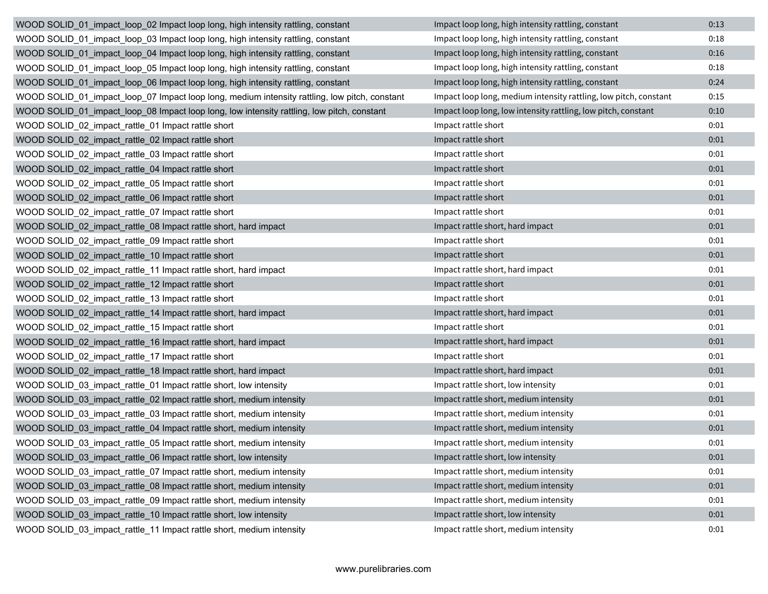| WOOD SOLID 01 impact loop 02 Impact loop long, high intensity rattling, constant              | Impact loop long, high intensity rattling, constant              | 0:13 |
|-----------------------------------------------------------------------------------------------|------------------------------------------------------------------|------|
| WOOD SOLID_01_impact_loop_03 Impact loop long, high intensity rattling, constant              | Impact loop long, high intensity rattling, constant              | 0:18 |
| WOOD SOLID_01_impact_loop_04 Impact loop long, high intensity rattling, constant              | Impact loop long, high intensity rattling, constant              | 0:16 |
| WOOD SOLID_01_impact_loop_05 Impact loop long, high intensity rattling, constant              | Impact loop long, high intensity rattling, constant              | 0:18 |
| WOOD SOLID_01_impact_loop_06 Impact loop long, high intensity rattling, constant              | Impact loop long, high intensity rattling, constant              | 0:24 |
| WOOD SOLID_01_impact_loop_07 Impact loop long, medium intensity rattling, low pitch, constant | Impact loop long, medium intensity rattling, low pitch, constant | 0:15 |
| WOOD SOLID_01_impact_loop_08 Impact loop long, low intensity rattling, low pitch, constant    | Impact loop long, low intensity rattling, low pitch, constant    | 0:10 |
| WOOD SOLID_02_impact_rattle_01 Impact rattle short                                            | Impact rattle short                                              | 0:01 |
| WOOD SOLID_02_impact_rattle_02 Impact rattle short                                            | Impact rattle short                                              | 0:01 |
| WOOD SOLID_02_impact_rattle_03 Impact rattle short                                            | Impact rattle short                                              | 0:01 |
| WOOD SOLID_02_impact_rattle_04 Impact rattle short                                            | Impact rattle short                                              | 0:01 |
| WOOD SOLID_02_impact_rattle_05 Impact rattle short                                            | Impact rattle short                                              | 0:01 |
| WOOD SOLID_02_impact_rattle_06 Impact rattle short                                            | Impact rattle short                                              | 0:01 |
| WOOD SOLID_02_impact_rattle_07 Impact rattle short                                            | Impact rattle short                                              | 0:01 |
| WOOD SOLID_02_impact_rattle_08 Impact rattle short, hard impact                               | Impact rattle short, hard impact                                 | 0:01 |
| WOOD SOLID_02_impact_rattle_09 Impact rattle short                                            | Impact rattle short                                              | 0:01 |
| WOOD SOLID_02_impact_rattle_10 Impact rattle short                                            | Impact rattle short                                              | 0:01 |
| WOOD SOLID_02_impact_rattle_11 Impact rattle short, hard impact                               | Impact rattle short, hard impact                                 | 0:01 |
| WOOD SOLID_02_impact_rattle_12 Impact rattle short                                            | Impact rattle short                                              | 0:01 |
| WOOD SOLID_02_impact_rattle_13 Impact rattle short                                            | Impact rattle short                                              | 0:01 |
| WOOD SOLID_02_impact_rattle_14 Impact rattle short, hard impact                               | Impact rattle short, hard impact                                 | 0:01 |
| WOOD SOLID_02_impact_rattle_15 Impact rattle short                                            | Impact rattle short                                              | 0:01 |
| WOOD SOLID_02_impact_rattle_16 Impact rattle short, hard impact                               | Impact rattle short, hard impact                                 | 0:01 |
| WOOD SOLID_02_impact_rattle_17 Impact rattle short                                            | Impact rattle short                                              | 0:01 |
| WOOD SOLID_02_impact_rattle_18 Impact rattle short, hard impact                               | Impact rattle short, hard impact                                 | 0:01 |
| WOOD SOLID_03_impact_rattle_01 Impact rattle short, low intensity                             | Impact rattle short, low intensity                               | 0:01 |
| WOOD SOLID_03_impact_rattle_02 Impact rattle short, medium intensity                          | Impact rattle short, medium intensity                            | 0:01 |
| WOOD SOLID_03_impact_rattle_03 Impact rattle short, medium intensity                          | Impact rattle short, medium intensity                            | 0:01 |
| WOOD SOLID 03 impact rattle 04 Impact rattle short, medium intensity                          | Impact rattle short, medium intensity                            | 0:01 |
| WOOD SOLID_03_impact_rattle_05 Impact rattle short, medium intensity                          | Impact rattle short, medium intensity                            | 0:01 |
| WOOD SOLID_03_impact_rattle_06 Impact rattle short, low intensity                             | Impact rattle short, low intensity                               | 0:01 |
| WOOD SOLID_03_impact_rattle_07 Impact rattle short, medium intensity                          | Impact rattle short, medium intensity                            | 0:01 |
| WOOD SOLID_03_impact_rattle_08 Impact rattle short, medium intensity                          | Impact rattle short, medium intensity                            | 0:01 |
| WOOD SOLID_03_impact_rattle_09 Impact rattle short, medium intensity                          | Impact rattle short, medium intensity                            | 0:01 |
| WOOD SOLID 03 impact rattle 10 Impact rattle short, low intensity                             | Impact rattle short, low intensity                               | 0:01 |
| WOOD SOLID_03_impact_rattle_11 Impact rattle short, medium intensity                          | Impact rattle short, medium intensity                            | 0:01 |